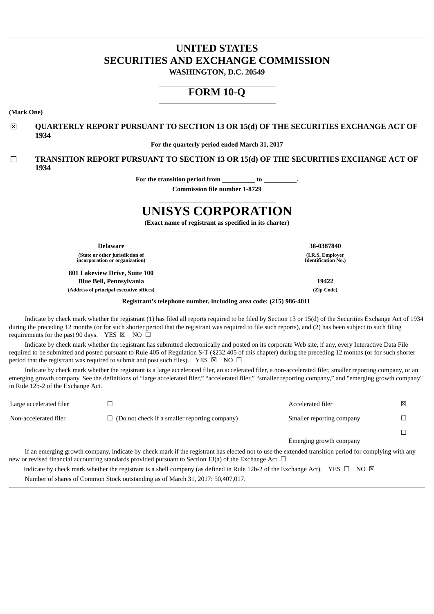# **UNITED STATES SECURITIES AND EXCHANGE COMMISSION**

**WASHINGTON, D.C. 20549**

## **FORM 10-Q**

**(Mark One)**

☒ **QUARTERLY REPORT PURSUANT TO SECTION 13 OR 15(d) OF THE SECURITIES EXCHANGE ACT OF 1934**

**For the quarterly period ended March 31, 2017**

☐ **TRANSITION REPORT PURSUANT TO SECTION 13 OR 15(d) OF THE SECURITIES EXCHANGE ACT OF 1934**

**For the transition period from to .**

**Commission file number 1-8729**

# **UNISYS CORPORATION**

**(Exact name of registrant as specified in its charter)**

**(State or other jurisdiction of incorporation or organization)**

**801 Lakeview Drive, Suite 100 Blue Bell, Pennsylvania 19422 (Address of principal executive offices) (Zip Code)**

**Delaware 38-0387840 (I.R.S. Employer Identification No.)**

**Registrant's telephone number, including area code: (215) 986-4011**

Indicate by check mark whether the registrant (1) has filed all reports required to be filed by Section 13 or 15(d) of the Securities Exchange Act of 1934 during the preceding 12 months (or for such shorter period that the registrant was required to file such reports), and (2) has been subject to such filing requirements for the past 90 days. YES  $\boxtimes$  NO  $\Box$ 

Indicate by check mark whether the registrant has submitted electronically and posted on its corporate Web site, if any, every Interactive Data File required to be submitted and posted pursuant to Rule 405 of Regulation S-T (§232.405 of this chapter) during the preceding 12 months (or for such shorter period that the registrant was required to submit and post such files). YES  $\boxtimes$  NO  $\Box$ 

Indicate by check mark whether the registrant is a large accelerated filer, an accelerated filer, a non-accelerated filer, smaller reporting company, or an emerging growth company. See the definitions of "large accelerated filer," "accelerated filer," "smaller reporting company," and "emerging growth company" in Rule 12b-2 of the Exchange Act.

| Large accelerated filer |                                                                                                                                                        | Accelerated filer         | × |
|-------------------------|--------------------------------------------------------------------------------------------------------------------------------------------------------|---------------------------|---|
| Non-accelerated filer   | $\Box$ (Do not check if a smaller reporting company)                                                                                                   | Smaller reporting company |   |
|                         |                                                                                                                                                        |                           |   |
|                         |                                                                                                                                                        | Emerging growth company   |   |
|                         | If an amorging quantity company indicate by check movie if the vegictrant has elected not to use the ovtanded transition novied for complying with any |                           |   |

If an emerging growth company, indicate by check mark if the registrant has elected not to use the extended transition period for complying with any new or revised financial accounting standards provided pursuant to Section 13(a) of the Exchange Act.  $\Box$ 

Indicate by check mark whether the registrant is a shell company (as defined in Rule 12b-2 of the Exchange Act). YES  $\Box$  NO  $\boxtimes$ Number of shares of Common Stock outstanding as of March 31, 2017: 50,407,017.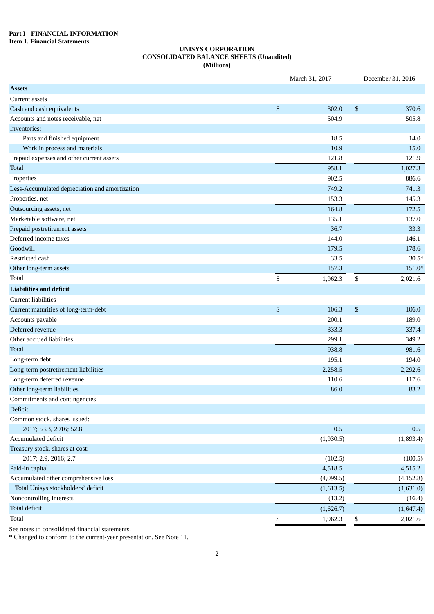### **Part I - FINANCIAL INFORMATION Item 1. Financial Statements**

#### **UNISYS CORPORATION CONSOLIDATED BALANCE SHEETS (Unaudited) (Millions)**

|                                                |                   | March 31, 2017 |    | December 31, 2016 |  |  |
|------------------------------------------------|-------------------|----------------|----|-------------------|--|--|
| <b>Assets</b>                                  |                   |                |    |                   |  |  |
| Current assets                                 |                   |                |    |                   |  |  |
| Cash and cash equivalents                      | \$                | 302.0          | \$ | 370.6             |  |  |
| Accounts and notes receivable, net             |                   | 504.9          |    | 505.8             |  |  |
| Inventories:                                   |                   |                |    |                   |  |  |
| Parts and finished equipment                   |                   | 18.5           |    | 14.0              |  |  |
| Work in process and materials                  |                   | 10.9           |    | 15.0              |  |  |
| Prepaid expenses and other current assets      |                   | 121.8          |    | 121.9             |  |  |
| Total                                          |                   | 958.1          |    | 1,027.3           |  |  |
| Properties                                     |                   | 902.5          |    | 886.6             |  |  |
| Less-Accumulated depreciation and amortization |                   | 749.2          |    | 741.3             |  |  |
| Properties, net                                |                   | 153.3          |    | 145.3             |  |  |
| Outsourcing assets, net                        |                   | 164.8          |    | 172.5             |  |  |
| Marketable software, net                       |                   | 135.1          |    | 137.0             |  |  |
| Prepaid postretirement assets                  |                   | 36.7           |    | 33.3              |  |  |
| Deferred income taxes                          |                   | 144.0          |    | 146.1             |  |  |
| Goodwill                                       |                   | 179.5          |    | 178.6             |  |  |
| Restricted cash                                |                   | 33.5           |    | $30.5*$           |  |  |
| Other long-term assets                         |                   | 157.3          |    | 151.0*            |  |  |
| Total                                          | \$                | 1,962.3        | \$ | 2,021.6           |  |  |
| <b>Liabilities and deficit</b>                 |                   |                |    |                   |  |  |
| <b>Current liabilities</b>                     |                   |                |    |                   |  |  |
| Current maturities of long-term-debt           | $\boldsymbol{\$}$ | 106.3          | \$ | 106.0             |  |  |
| Accounts payable                               |                   | 200.1          |    | 189.0             |  |  |
| Deferred revenue                               |                   | 333.3          |    | 337.4             |  |  |
| Other accrued liabilities                      |                   | 299.1          |    | 349.2             |  |  |
| Total                                          |                   | 938.8          |    | 981.6             |  |  |
| Long-term debt                                 |                   | 195.1          |    | 194.0             |  |  |
| Long-term postretirement liabilities           |                   | 2,258.5        |    | 2,292.6           |  |  |
| Long-term deferred revenue                     |                   | 110.6          |    | 117.6             |  |  |
| Other long-term liabilities                    |                   | 86.0           |    | 83.2              |  |  |
| Commitments and contingencies                  |                   |                |    |                   |  |  |
| Deficit                                        |                   |                |    |                   |  |  |
| Common stock, shares issued:                   |                   |                |    |                   |  |  |
| 2017; 53.3, 2016; 52.8                         |                   | 0.5            |    | $0.5\,$           |  |  |
| Accumulated deficit                            |                   | (1,930.5)      |    | (1,893.4)         |  |  |
| Treasury stock, shares at cost:                |                   |                |    |                   |  |  |
| 2017; 2.9, 2016; 2.7                           |                   | (102.5)        |    | (100.5)           |  |  |
| Paid-in capital                                |                   | 4,518.5        |    | 4,515.2           |  |  |
| Accumulated other comprehensive loss           |                   | (4,099.5)      |    | (4, 152.8)        |  |  |
| Total Unisys stockholders' deficit             |                   | (1,613.5)      |    | (1,631.0)         |  |  |
| Noncontrolling interests                       |                   | (13.2)         |    | (16.4)            |  |  |
| <b>Total deficit</b>                           |                   | (1,626.7)      |    | (1,647.4)         |  |  |
| Total                                          | \$                | 1,962.3        | \$ | 2,021.6           |  |  |

See notes to consolidated financial statements.

\* Changed to conform to the current-year presentation. See Note 11.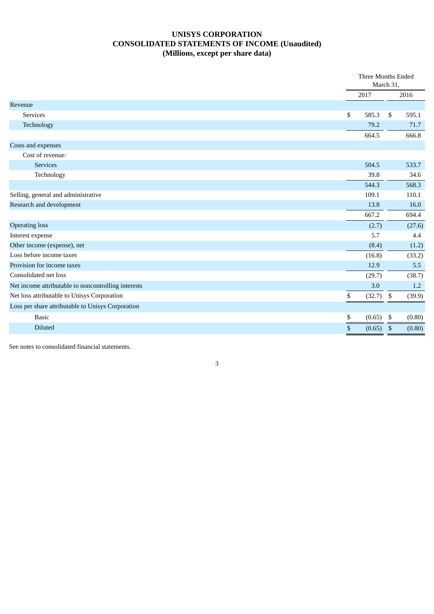## **UNISYS CORPORATION CONSOLIDATED STATEMENTS OF INCOME (Unaudited) (Millions, except per share data)**

|                                                     |              | Three Months Ended<br>March 31, |
|-----------------------------------------------------|--------------|---------------------------------|
|                                                     | 2017         | 2016                            |
| Revenue                                             |              |                                 |
| <b>Services</b>                                     | \$<br>585.3  | \$<br>595.1                     |
| Technology                                          | 79.2         | 71.7                            |
|                                                     | 664.5        | 666.8                           |
| Costs and expenses                                  |              |                                 |
| Cost of revenue:                                    |              |                                 |
| <b>Services</b>                                     | 504.5        | 533.7                           |
| Technology                                          | 39.8         | 34.6                            |
|                                                     | 544.3        | 568.3                           |
| Selling, general and administrative                 | 109.1        | 110.1                           |
| Research and development                            | 13.8         | 16.0                            |
|                                                     | 667.2        | 694.4                           |
| <b>Operating loss</b>                               | (2.7)        | (27.6)                          |
| Interest expense                                    | 5.7          | 4.4                             |
| Other income (expense), net                         | (8.4)        | (1.2)                           |
| Loss before income taxes                            | (16.8)       | (33.2)                          |
| Provision for income taxes                          | 12.9         | 5.5                             |
| Consolidated net loss                               | (29.7)       | (38.7)                          |
| Net income attributable to noncontrolling interests | 3.0          | 1.2                             |
| Net loss attributable to Unisys Corporation         | \$<br>(32.7) | (39.9)<br>\$                    |
| Loss per share attributable to Unisys Corporation   |              |                                 |
| <b>Basic</b>                                        | \$<br>(0.65) | (0.80)<br>\$                    |
| <b>Diluted</b>                                      | \$<br>(0.65) | \$<br>(0.80)                    |

See notes to consolidated financial statements.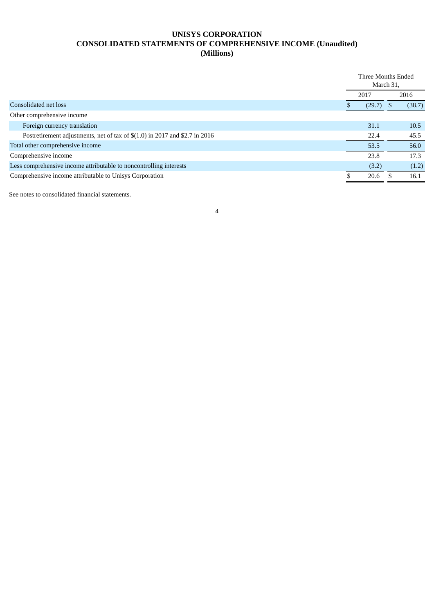## **UNISYS CORPORATION CONSOLIDATED STATEMENTS OF COMPREHENSIVE INCOME (Unaudited) (Millions)**

|                                                                             | Three Months Ended<br>March 31, |        |     |        |
|-----------------------------------------------------------------------------|---------------------------------|--------|-----|--------|
|                                                                             |                                 | 2017   |     | 2016   |
| Consolidated net loss                                                       |                                 | (29.7) | - S | (38.7) |
| Other comprehensive income                                                  |                                 |        |     |        |
| Foreign currency translation                                                |                                 | 31.1   |     | 10.5   |
| Postretirement adjustments, net of tax of \$(1.0) in 2017 and \$2.7 in 2016 |                                 | 22.4   |     | 45.5   |
| Total other comprehensive income                                            |                                 | 53.5   |     | 56.0   |
| Comprehensive income                                                        |                                 | 23.8   |     | 17.3   |
| Less comprehensive income attributable to noncontrolling interests          |                                 | (3.2)  |     | (1.2)  |
| Comprehensive income attributable to Unisys Corporation                     |                                 | 20.6   |     | 16.1   |

See notes to consolidated financial statements.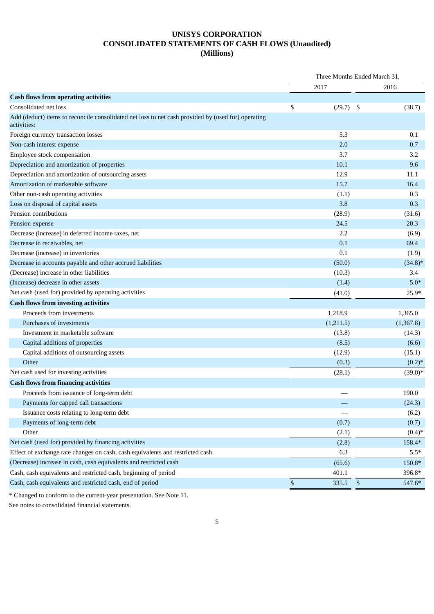## **UNISYS CORPORATION CONSOLIDATED STATEMENTS OF CASH FLOWS (Unaudited) (Millions)**

| 2017<br>2016<br><b>Cash flows from operating activities</b><br>Consolidated net loss<br>\$<br>(29.7)<br>- \$<br>(38.7)<br>Add (deduct) items to reconcile consolidated net loss to net cash provided by (used for) operating<br>activities:<br>Foreign currency transaction losses<br>5.3<br>0.1<br>Non-cash interest expense<br>2.0<br>0.7<br>Employee stock compensation<br>3.7<br>3.2<br>Depreciation and amortization of properties<br>10.1<br>9.6<br>Depreciation and amortization of outsourcing assets<br>12.9<br>11.1<br>Amortization of marketable software<br>15.7<br>16.4<br>Other non-cash operating activities<br>(1.1)<br>0.3<br>3.8<br>Loss on disposal of capital assets<br>0.3<br>Pension contributions<br>(28.9)<br>(31.6)<br>20.3<br>24.5<br>Pension expense<br>Decrease (increase) in deferred income taxes, net<br>2.2<br>(6.9)<br>Decrease in receivables, net<br>0.1<br>69.4<br>Decrease (increase) in inventories<br>0.1<br>(1.9) |                                                            | Three Months Ended March 31, |        |  |            |  |
|-----------------------------------------------------------------------------------------------------------------------------------------------------------------------------------------------------------------------------------------------------------------------------------------------------------------------------------------------------------------------------------------------------------------------------------------------------------------------------------------------------------------------------------------------------------------------------------------------------------------------------------------------------------------------------------------------------------------------------------------------------------------------------------------------------------------------------------------------------------------------------------------------------------------------------------------------------------|------------------------------------------------------------|------------------------------|--------|--|------------|--|
|                                                                                                                                                                                                                                                                                                                                                                                                                                                                                                                                                                                                                                                                                                                                                                                                                                                                                                                                                           |                                                            |                              |        |  |            |  |
|                                                                                                                                                                                                                                                                                                                                                                                                                                                                                                                                                                                                                                                                                                                                                                                                                                                                                                                                                           |                                                            |                              |        |  |            |  |
|                                                                                                                                                                                                                                                                                                                                                                                                                                                                                                                                                                                                                                                                                                                                                                                                                                                                                                                                                           |                                                            |                              |        |  |            |  |
|                                                                                                                                                                                                                                                                                                                                                                                                                                                                                                                                                                                                                                                                                                                                                                                                                                                                                                                                                           |                                                            |                              |        |  |            |  |
|                                                                                                                                                                                                                                                                                                                                                                                                                                                                                                                                                                                                                                                                                                                                                                                                                                                                                                                                                           |                                                            |                              |        |  |            |  |
|                                                                                                                                                                                                                                                                                                                                                                                                                                                                                                                                                                                                                                                                                                                                                                                                                                                                                                                                                           |                                                            |                              |        |  |            |  |
|                                                                                                                                                                                                                                                                                                                                                                                                                                                                                                                                                                                                                                                                                                                                                                                                                                                                                                                                                           |                                                            |                              |        |  |            |  |
|                                                                                                                                                                                                                                                                                                                                                                                                                                                                                                                                                                                                                                                                                                                                                                                                                                                                                                                                                           |                                                            |                              |        |  |            |  |
|                                                                                                                                                                                                                                                                                                                                                                                                                                                                                                                                                                                                                                                                                                                                                                                                                                                                                                                                                           |                                                            |                              |        |  |            |  |
|                                                                                                                                                                                                                                                                                                                                                                                                                                                                                                                                                                                                                                                                                                                                                                                                                                                                                                                                                           |                                                            |                              |        |  |            |  |
|                                                                                                                                                                                                                                                                                                                                                                                                                                                                                                                                                                                                                                                                                                                                                                                                                                                                                                                                                           |                                                            |                              |        |  |            |  |
|                                                                                                                                                                                                                                                                                                                                                                                                                                                                                                                                                                                                                                                                                                                                                                                                                                                                                                                                                           |                                                            |                              |        |  |            |  |
|                                                                                                                                                                                                                                                                                                                                                                                                                                                                                                                                                                                                                                                                                                                                                                                                                                                                                                                                                           |                                                            |                              |        |  |            |  |
|                                                                                                                                                                                                                                                                                                                                                                                                                                                                                                                                                                                                                                                                                                                                                                                                                                                                                                                                                           |                                                            |                              |        |  |            |  |
|                                                                                                                                                                                                                                                                                                                                                                                                                                                                                                                                                                                                                                                                                                                                                                                                                                                                                                                                                           |                                                            |                              |        |  |            |  |
|                                                                                                                                                                                                                                                                                                                                                                                                                                                                                                                                                                                                                                                                                                                                                                                                                                                                                                                                                           |                                                            |                              |        |  |            |  |
|                                                                                                                                                                                                                                                                                                                                                                                                                                                                                                                                                                                                                                                                                                                                                                                                                                                                                                                                                           |                                                            |                              |        |  |            |  |
|                                                                                                                                                                                                                                                                                                                                                                                                                                                                                                                                                                                                                                                                                                                                                                                                                                                                                                                                                           | Decrease in accounts payable and other accrued liabilities |                              | (50.0) |  | $(34.8)$ * |  |
| (Decrease) increase in other liabilities<br>(10.3)<br>3.4                                                                                                                                                                                                                                                                                                                                                                                                                                                                                                                                                                                                                                                                                                                                                                                                                                                                                                 |                                                            |                              |        |  |            |  |
| (Increase) decrease in other assets<br>$5.0*$<br>(1.4)                                                                                                                                                                                                                                                                                                                                                                                                                                                                                                                                                                                                                                                                                                                                                                                                                                                                                                    |                                                            |                              |        |  |            |  |
| Net cash (used for) provided by operating activities<br>(41.0)<br>$25.9*$                                                                                                                                                                                                                                                                                                                                                                                                                                                                                                                                                                                                                                                                                                                                                                                                                                                                                 |                                                            |                              |        |  |            |  |
| <b>Cash flows from investing activities</b>                                                                                                                                                                                                                                                                                                                                                                                                                                                                                                                                                                                                                                                                                                                                                                                                                                                                                                               |                                                            |                              |        |  |            |  |
| Proceeds from investments<br>1,218.9<br>1,365.0                                                                                                                                                                                                                                                                                                                                                                                                                                                                                                                                                                                                                                                                                                                                                                                                                                                                                                           |                                                            |                              |        |  |            |  |
| Purchases of investments<br>(1,211.5)<br>(1,367.8)                                                                                                                                                                                                                                                                                                                                                                                                                                                                                                                                                                                                                                                                                                                                                                                                                                                                                                        |                                                            |                              |        |  |            |  |
| Investment in marketable software<br>(13.8)<br>(14.3)                                                                                                                                                                                                                                                                                                                                                                                                                                                                                                                                                                                                                                                                                                                                                                                                                                                                                                     |                                                            |                              |        |  |            |  |
| Capital additions of properties<br>(8.5)<br>(6.6)                                                                                                                                                                                                                                                                                                                                                                                                                                                                                                                                                                                                                                                                                                                                                                                                                                                                                                         |                                                            |                              |        |  |            |  |
| Capital additions of outsourcing assets<br>(12.9)<br>(15.1)                                                                                                                                                                                                                                                                                                                                                                                                                                                                                                                                                                                                                                                                                                                                                                                                                                                                                               |                                                            |                              |        |  |            |  |
| Other<br>(0.3)<br>$(0.2)$ *                                                                                                                                                                                                                                                                                                                                                                                                                                                                                                                                                                                                                                                                                                                                                                                                                                                                                                                               |                                                            |                              |        |  |            |  |
| Net cash used for investing activities<br>(28.1)<br>$(39.0)*$                                                                                                                                                                                                                                                                                                                                                                                                                                                                                                                                                                                                                                                                                                                                                                                                                                                                                             |                                                            |                              |        |  |            |  |
| <b>Cash flows from financing activities</b>                                                                                                                                                                                                                                                                                                                                                                                                                                                                                                                                                                                                                                                                                                                                                                                                                                                                                                               |                                                            |                              |        |  |            |  |
| Proceeds from issuance of long-term debt<br>190.0                                                                                                                                                                                                                                                                                                                                                                                                                                                                                                                                                                                                                                                                                                                                                                                                                                                                                                         |                                                            |                              |        |  |            |  |
| Payments for capped call transactions<br>(24.3)                                                                                                                                                                                                                                                                                                                                                                                                                                                                                                                                                                                                                                                                                                                                                                                                                                                                                                           |                                                            |                              |        |  |            |  |
| Issuance costs relating to long-term debt<br>(6.2)                                                                                                                                                                                                                                                                                                                                                                                                                                                                                                                                                                                                                                                                                                                                                                                                                                                                                                        |                                                            |                              |        |  |            |  |
| Payments of long-term debt<br>(0.7)<br>(0.7)                                                                                                                                                                                                                                                                                                                                                                                                                                                                                                                                                                                                                                                                                                                                                                                                                                                                                                              |                                                            |                              |        |  |            |  |
| Other<br>(2.1)<br>$(0.4)$ *                                                                                                                                                                                                                                                                                                                                                                                                                                                                                                                                                                                                                                                                                                                                                                                                                                                                                                                               |                                                            |                              |        |  |            |  |
| Net cash (used for) provided by financing activities<br>158.4*<br>(2.8)                                                                                                                                                                                                                                                                                                                                                                                                                                                                                                                                                                                                                                                                                                                                                                                                                                                                                   |                                                            |                              |        |  |            |  |
| Effect of exchange rate changes on cash, cash equivalents and restricted cash<br>6.3<br>$5.5*$                                                                                                                                                                                                                                                                                                                                                                                                                                                                                                                                                                                                                                                                                                                                                                                                                                                            |                                                            |                              |        |  |            |  |
| (Decrease) increase in cash, cash equivalents and restricted cash<br>(65.6)<br>$150.8*$                                                                                                                                                                                                                                                                                                                                                                                                                                                                                                                                                                                                                                                                                                                                                                                                                                                                   |                                                            |                              |        |  |            |  |
| Cash, cash equivalents and restricted cash, beginning of period<br>401.1<br>396.8*                                                                                                                                                                                                                                                                                                                                                                                                                                                                                                                                                                                                                                                                                                                                                                                                                                                                        |                                                            |                              |        |  |            |  |
| Cash, cash equivalents and restricted cash, end of period<br>\$<br>$\$$<br>335.5<br>$547.6*$                                                                                                                                                                                                                                                                                                                                                                                                                                                                                                                                                                                                                                                                                                                                                                                                                                                              |                                                            |                              |        |  |            |  |

\* Changed to conform to the current-year presentation. See Note 11.

See notes to consolidated financial statements.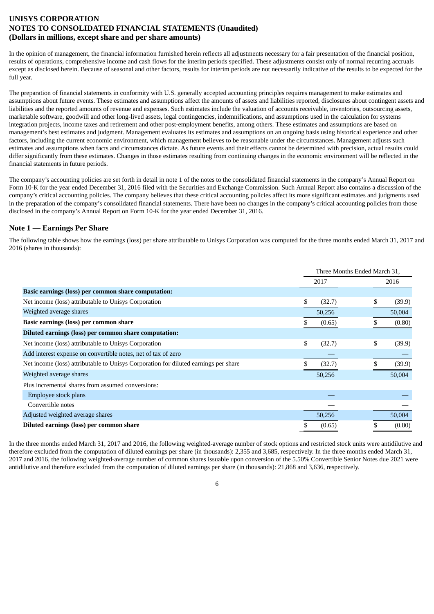## **UNISYS CORPORATION NOTES TO CONSOLIDATED FINANCIAL STATEMENTS (Unaudited) (Dollars in millions, except share and per share amounts)**

In the opinion of management, the financial information furnished herein reflects all adjustments necessary for a fair presentation of the financial position, results of operations, comprehensive income and cash flows for the interim periods specified. These adjustments consist only of normal recurring accruals except as disclosed herein. Because of seasonal and other factors, results for interim periods are not necessarily indicative of the results to be expected for the full year.

The preparation of financial statements in conformity with U.S. generally accepted accounting principles requires management to make estimates and assumptions about future events. These estimates and assumptions affect the amounts of assets and liabilities reported, disclosures about contingent assets and liabilities and the reported amounts of revenue and expenses. Such estimates include the valuation of accounts receivable, inventories, outsourcing assets, marketable software, goodwill and other long-lived assets, legal contingencies, indemnifications, and assumptions used in the calculation for systems integration projects, income taxes and retirement and other post-employment benefits, among others. These estimates and assumptions are based on management's best estimates and judgment. Management evaluates its estimates and assumptions on an ongoing basis using historical experience and other factors, including the current economic environment, which management believes to be reasonable under the circumstances. Management adjusts such estimates and assumptions when facts and circumstances dictate. As future events and their effects cannot be determined with precision, actual results could differ significantly from these estimates. Changes in those estimates resulting from continuing changes in the economic environment will be reflected in the financial statements in future periods.

The company's accounting policies are set forth in detail in note 1 of the notes to the consolidated financial statements in the company's Annual Report on Form 10-K for the year ended December 31, 2016 filed with the Securities and Exchange Commission. Such Annual Report also contains a discussion of the company's critical accounting policies. The company believes that these critical accounting policies affect its more significant estimates and judgments used in the preparation of the company's consolidated financial statements. There have been no changes in the company's critical accounting policies from those disclosed in the company's Annual Report on Form 10-K for the year ended December 31, 2016.

### **Note 1 — Earnings Per Share**

The following table shows how the earnings (loss) per share attributable to Unisys Corporation was computed for the three months ended March 31, 2017 and 2016 (shares in thousands):

|                                                                                     | Three Months Ended March 31, |        |    |              |
|-------------------------------------------------------------------------------------|------------------------------|--------|----|--------------|
|                                                                                     |                              | 2017   |    | 2016         |
| <b>Basic earnings (loss) per common share computation:</b>                          |                              |        |    |              |
| Net income (loss) attributable to Unisys Corporation                                | \$                           | (32.7) |    | \$<br>(39.9) |
| Weighted average shares                                                             |                              | 50,256 |    | 50,004       |
| Basic earnings (loss) per common share                                              |                              | (0.65) |    | (0.80)       |
| Diluted earnings (loss) per common share computation:                               |                              |        |    |              |
| Net income (loss) attributable to Unisys Corporation                                | \$                           | (32.7) |    | \$<br>(39.9) |
| Add interest expense on convertible notes, net of tax of zero                       |                              |        |    |              |
| Net income (loss) attributable to Unisys Corporation for diluted earnings per share |                              | (32.7) | \$ | (39.9)       |
| Weighted average shares                                                             |                              | 50,256 |    | 50,004       |
| Plus incremental shares from assumed conversions:                                   |                              |        |    |              |
| Employee stock plans                                                                |                              |        |    |              |
| Convertible notes                                                                   |                              |        |    |              |
| Adjusted weighted average shares                                                    |                              | 50,256 |    | 50,004       |
| Diluted earnings (loss) per common share                                            | \$                           | (0.65) |    | \$<br>(0.80) |

In the three months ended March 31, 2017 and 2016, the following weighted-average number of stock options and restricted stock units were antidilutive and therefore excluded from the computation of diluted earnings per share (in thousands): 2,355 and 3,685, respectively. In the three months ended March 31, 2017 and 2016, the following weighted-average number of common shares issuable upon conversion of the 5.50% Convertible Senior Notes due 2021 were antidilutive and therefore excluded from the computation of diluted earnings per share (in thousands): 21,868 and 3,636, respectively.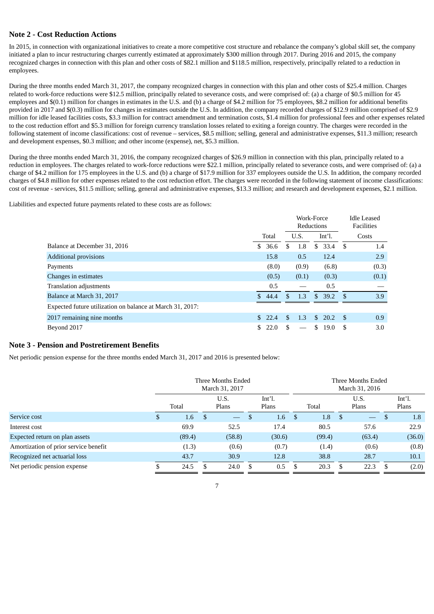## **Note 2 - Cost Reduction Actions**

In 2015, in connection with organizational initiatives to create a more competitive cost structure and rebalance the company's global skill set, the company initiated a plan to incur restructuring charges currently estimated at approximately \$300 million through 2017. During 2016 and 2015, the company recognized charges in connection with this plan and other costs of \$82.1 million and \$118.5 million, respectively, principally related to a reduction in employees.

During the three months ended March 31, 2017, the company recognized charges in connection with this plan and other costs of \$25.4 million. Charges related to work-force reductions were \$12.5 million, principally related to severance costs, and were comprised of: (a) a charge of \$0.5 million for 45 employees and \$(0.1) million for changes in estimates in the U.S. and (b) a charge of \$4.2 million for 75 employees, \$8.2 million for additional benefits provided in 2017 and \$(0.3) million for changes in estimates outside the U.S. In addition, the company recorded charges of \$12.9 million comprised of \$2.9 million for idle leased facilities costs, \$3.3 million for contract amendment and termination costs, \$1.4 million for professional fees and other expenses related to the cost reduction effort and \$5.3 million for foreign currency translation losses related to exiting a foreign country. The charges were recorded in the following statement of income classifications: cost of revenue – services, \$8.5 million; selling, general and administrative expenses, \$11.3 million; research and development expenses, \$0.3 million; and other income (expense), net, \$5.3 million.

During the three months ended March 31, 2016, the company recognized charges of \$26.9 million in connection with this plan, principally related to a reduction in employees. The charges related to work-force reductions were \$22.1 million, principally related to severance costs, and were comprised of: (a) a charge of \$4.2 million for 175 employees in the U.S. and (b) a charge of \$17.9 million for 337 employees outside the U.S. In addition, the company recorded charges of \$4.8 million for other expenses related to the cost reduction effort. The charges were recorded in the following statement of income classifications: cost of revenue - services, \$11.5 million; selling, general and administrative expenses, \$13.3 million; and research and development expenses, \$2.1 million.

Liabilities and expected future payments related to these costs are as follows:

|                                                           |               |       | Work-Force<br>Reductions |       |               |        | <b>Idle Leased</b><br>Facilities |       |
|-----------------------------------------------------------|---------------|-------|--------------------------|-------|---------------|--------|----------------------------------|-------|
|                                                           |               | Total |                          | U.S.  |               | Int'l. |                                  | Costs |
| Balance at December 31, 2016                              | \$.           | 36.6  | \$.                      | 1.8   | \$            | 33.4   | - \$                             | 1.4   |
| Additional provisions                                     |               | 15.8  |                          | 0.5   |               | 12.4   |                                  | 2.9   |
| Payments                                                  |               | (8.0) |                          | (0.9) |               | (6.8)  |                                  | (0.3) |
| Changes in estimates                                      |               | (0.5) |                          | (0.1) |               | (0.3)  |                                  | (0.1) |
| <b>Translation adjustments</b>                            |               | 0.5   |                          |       |               | 0.5    |                                  |       |
| Balance at March 31, 2017                                 | $\mathcal{S}$ | 44.4  | \$.                      | 1.3   | $\mathcal{S}$ | 39.2   | -\$                              | 3.9   |
| Expected future utilization on balance at March 31, 2017: |               |       |                          |       |               |        |                                  |       |
| 2017 remaining nine months                                | \$.           | 22.4  | \$.                      | 1.3   | $\mathbb{S}$  | 20.2   | -\$                              | 0.9   |
| Beyond 2017                                               | S             | 22.0  | S                        |       | \$            | 19.0   | S                                | 3.0   |

### **Note 3 - Pension and Postretirement Benefits**

Net periodic pension expense for the three months ended March 31, 2017 and 2016 is presented below:

|                                       | Three Months Ended<br>March 31, 2017 |        |               |               |     |                 |     |        |     | Three Months Ended<br>March 31, 2016 |               |                 |
|---------------------------------------|--------------------------------------|--------|---------------|---------------|-----|-----------------|-----|--------|-----|--------------------------------------|---------------|-----------------|
|                                       |                                      | Total  |               | U.S.<br>Plans |     | Int'l.<br>Plans |     | Total  |     | U.S.<br>Plans                        |               | Int'l.<br>Plans |
| Service cost                          | \$.                                  | 1.6    | <sup>\$</sup> |               |     | 1.6             | \$. | 1.8    | -\$ |                                      | <sup>\$</sup> | 1.8             |
| Interest cost                         |                                      | 69.9   |               | 52.5          |     | 17.4            |     | 80.5   |     | 57.6                                 |               | 22.9            |
| Expected return on plan assets        |                                      | (89.4) |               | (58.8)        |     | (30.6)          |     | (99.4) |     | (63.4)                               |               | (36.0)          |
| Amortization of prior service benefit |                                      | (1.3)  |               | (0.6)         |     | (0.7)           |     | (1.4)  |     | (0.6)                                |               | (0.8)           |
| Recognized net actuarial loss         |                                      | 43.7   |               | 30.9          |     | 12.8            |     | 38.8   |     | 28.7                                 |               | 10.1            |
| Net periodic pension expense          |                                      | 24.5   |               | 24.0          | \$. | 0.5             | \$. | 20.3   |     | 22.3                                 | -S            | (2.0)           |

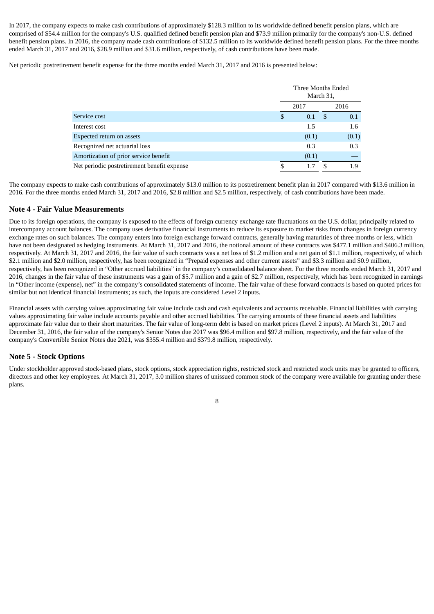In 2017, the company expects to make cash contributions of approximately \$128.3 million to its worldwide defined benefit pension plans, which are comprised of \$54.4 million for the company's U.S. qualified defined benefit pension plan and \$73.9 million primarily for the company's non-U.S. defined benefit pension plans. In 2016, the company made cash contributions of \$132.5 million to its worldwide defined benefit pension plans. For the three months ended March 31, 2017 and 2016, \$28.9 million and \$31.6 million, respectively, of cash contributions have been made.

Net periodic postretirement benefit expense for the three months ended March 31, 2017 and 2016 is presented below:

|                                             | Three Months Ended<br>March 31, |       |               |       |  |
|---------------------------------------------|---------------------------------|-------|---------------|-------|--|
|                                             |                                 | 2017  | 2016          |       |  |
| Service cost                                | \$                              | 0.1   | <sup>\$</sup> | 0.1   |  |
| Interest cost                               |                                 | 1.5   |               | 1.6   |  |
| Expected return on assets                   |                                 | (0.1) |               | (0.1) |  |
| Recognized net actuarial loss               |                                 | 0.3   |               | 0.3   |  |
| Amortization of prior service benefit       |                                 | (0.1) |               |       |  |
| Net periodic postretirement benefit expense |                                 |       |               | 1.9   |  |

The company expects to make cash contributions of approximately \$13.0 million to its postretirement benefit plan in 2017 compared with \$13.6 million in 2016. For the three months ended March 31, 2017 and 2016, \$2.8 million and \$2.5 million, respectively, of cash contributions have been made.

### **Note 4 - Fair Value Measurements**

Due to its foreign operations, the company is exposed to the effects of foreign currency exchange rate fluctuations on the U.S. dollar, principally related to intercompany account balances. The company uses derivative financial instruments to reduce its exposure to market risks from changes in foreign currency exchange rates on such balances. The company enters into foreign exchange forward contracts, generally having maturities of three months or less, which have not been designated as hedging instruments. At March 31, 2017 and 2016, the notional amount of these contracts was \$477.1 million and \$406.3 million, respectively. At March 31, 2017 and 2016, the fair value of such contracts was a net loss of \$1.2 million and a net gain of \$1.1 million, respectively, of which \$2.1 million and \$2.0 million, respectively, has been recognized in "Prepaid expenses and other current assets" and \$3.3 million and \$0.9 million, respectively, has been recognized in "Other accrued liabilities" in the company's consolidated balance sheet. For the three months ended March 31, 2017 and 2016, changes in the fair value of these instruments was a gain of \$5.7 million and a gain of \$2.7 million, respectively, which has been recognized in earnings in "Other income (expense), net" in the company's consolidated statements of income. The fair value of these forward contracts is based on quoted prices for similar but not identical financial instruments; as such, the inputs are considered Level 2 inputs.

Financial assets with carrying values approximating fair value include cash and cash equivalents and accounts receivable. Financial liabilities with carrying values approximating fair value include accounts payable and other accrued liabilities. The carrying amounts of these financial assets and liabilities approximate fair value due to their short maturities. The fair value of long-term debt is based on market prices (Level 2 inputs). At March 31, 2017 and December 31, 2016, the fair value of the company's Senior Notes due 2017 was \$96.4 million and \$97.8 million, respectively, and the fair value of the company's Convertible Senior Notes due 2021, was \$355.4 million and \$379.8 million, respectively.

## **Note 5 - Stock Options**

Under stockholder approved stock-based plans, stock options, stock appreciation rights, restricted stock and restricted stock units may be granted to officers, directors and other key employees. At March 31, 2017, 3.0 million shares of unissued common stock of the company were available for granting under these plans.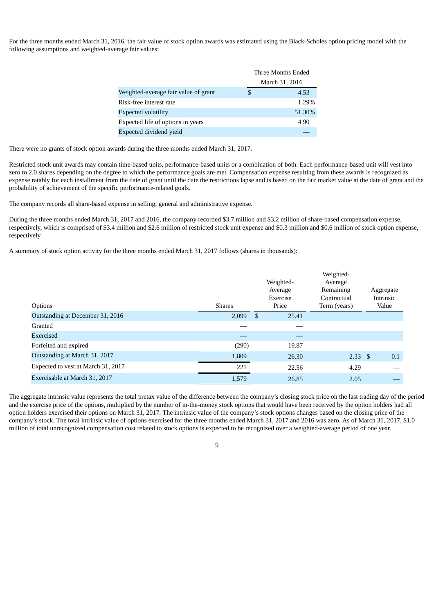For the three months ended March 31, 2016, the fair value of stock option awards was estimated using the Black-Scholes option pricing model with the following assumptions and weighted-average fair values:

|                                      | Three Months Ended |
|--------------------------------------|--------------------|
|                                      | March 31, 2016     |
| Weighted-average fair value of grant | 4.53               |
| Risk-free interest rate              | 1.29%              |
| <b>Expected volatility</b>           | 51.30%             |
| Expected life of options in years    | 4.90               |
| Expected dividend yield              |                    |

There were no grants of stock option awards during the three months ended March 31, 2017.

Restricted stock unit awards may contain time-based units, performance-based units or a combination of both. Each performance-based unit will vest into zero to 2.0 shares depending on the degree to which the performance goals are met. Compensation expense resulting from these awards is recognized as expense ratably for each installment from the date of grant until the date the restrictions lapse and is based on the fair market value at the date of grant and the probability of achievement of the specific performance-related goals.

The company records all share-based expense in selling, general and administrative expense.

During the three months ended March 31, 2017 and 2016, the company recorded \$3.7 million and \$3.2 million of share-based compensation expense, respectively, which is comprised of \$3.4 million and \$2.6 million of restricted stock unit expense and \$0.3 million and \$0.6 million of stock option expense, respectively.

A summary of stock option activity for the three months ended March 31, 2017 follows (shares in thousands):

|                                    |               | Weighted-   | Weighted-<br>Average |           |
|------------------------------------|---------------|-------------|----------------------|-----------|
|                                    |               | Average     | Remaining            | Aggregate |
|                                    |               | Exercise    | Contractual          | Intrinsic |
| Options                            | <b>Shares</b> | Price       | Term (years)         | Value     |
| Outstanding at December 31, 2016   | 2,099         | \$<br>25.41 |                      |           |
| Granted                            |               |             |                      |           |
| Exercised                          |               |             |                      |           |
| Forfeited and expired              | (290)         | 19.87       |                      |           |
| Outstanding at March 31, 2017      | 1,809         | 26.30       | $2.33$ \$            | 0.1       |
| Expected to vest at March 31, 2017 | 221           | 22.56       | 4.29                 |           |
| Exercisable at March 31, 2017      | 1,579         | 26.85       | 2.05                 |           |

The aggregate intrinsic value represents the total pretax value of the difference between the company's closing stock price on the last trading day of the period and the exercise price of the options, multiplied by the number of in-the-money stock options that would have been received by the option holders had all option holders exercised their options on March 31, 2017. The intrinsic value of the company's stock options changes based on the closing price of the company's stock. The total intrinsic value of options exercised for the three months ended March 31, 2017 and 2016 was zero. As of March 31, 2017, \$1.0 million of total unrecognized compensation cost related to stock options is expected to be recognized over a weighted-average period of one year.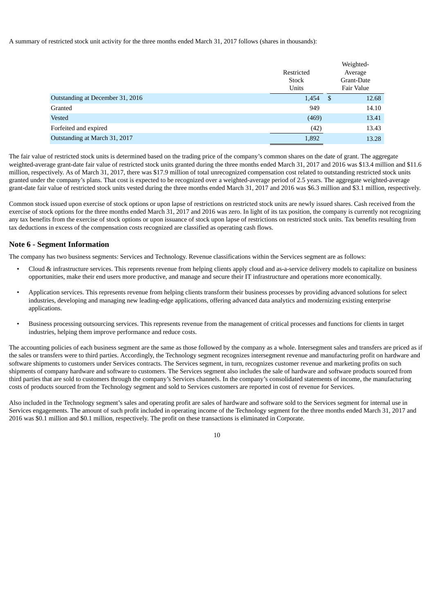A summary of restricted stock unit activity for the three months ended March 31, 2017 follows (shares in thousands):

|                                  | Restricted<br>Stock<br>Units |     | Weighted-<br>Average<br>Grant-Date<br>Fair Value |
|----------------------------------|------------------------------|-----|--------------------------------------------------|
| Outstanding at December 31, 2016 | 1,454                        | -\$ | 12.68                                            |
| Granted                          | 949                          |     | 14.10                                            |
| <b>Vested</b>                    | (469)                        |     | 13.41                                            |
| Forfeited and expired            | (42)                         |     | 13.43                                            |
| Outstanding at March 31, 2017    | 1,892                        |     | 13.28                                            |

The fair value of restricted stock units is determined based on the trading price of the company's common shares on the date of grant. The aggregate weighted-average grant-date fair value of restricted stock units granted during the three months ended March 31, 2017 and 2016 was \$13.4 million and \$11.6 million, respectively. As of March 31, 2017, there was \$17.9 million of total unrecognized compensation cost related to outstanding restricted stock units granted under the company's plans. That cost is expected to be recognized over a weighted-average period of 2.5 years. The aggregate weighted-average grant-date fair value of restricted stock units vested during the three months ended March 31, 2017 and 2016 was \$6.3 million and \$3.1 million, respectively.

Common stock issued upon exercise of stock options or upon lapse of restrictions on restricted stock units are newly issued shares. Cash received from the exercise of stock options for the three months ended March 31, 2017 and 2016 was zero. In light of its tax position, the company is currently not recognizing any tax benefits from the exercise of stock options or upon issuance of stock upon lapse of restrictions on restricted stock units. Tax benefits resulting from tax deductions in excess of the compensation costs recognized are classified as operating cash flows.

### **Note 6 - Segment Information**

The company has two business segments: Services and Technology. Revenue classifications within the Services segment are as follows:

- Cloud & infrastructure services. This represents revenue from helping clients apply cloud and as-a-service delivery models to capitalize on business opportunities, make their end users more productive, and manage and secure their IT infrastructure and operations more economically.
- Application services. This represents revenue from helping clients transform their business processes by providing advanced solutions for select industries, developing and managing new leading-edge applications, offering advanced data analytics and modernizing existing enterprise applications.
- Business processing outsourcing services. This represents revenue from the management of critical processes and functions for clients in target industries, helping them improve performance and reduce costs.

The accounting policies of each business segment are the same as those followed by the company as a whole. Intersegment sales and transfers are priced as if the sales or transfers were to third parties. Accordingly, the Technology segment recognizes intersegment revenue and manufacturing profit on hardware and software shipments to customers under Services contracts. The Services segment, in turn, recognizes customer revenue and marketing profits on such shipments of company hardware and software to customers. The Services segment also includes the sale of hardware and software products sourced from third parties that are sold to customers through the company's Services channels. In the company's consolidated statements of income, the manufacturing costs of products sourced from the Technology segment and sold to Services customers are reported in cost of revenue for Services.

Also included in the Technology segment's sales and operating profit are sales of hardware and software sold to the Services segment for internal use in Services engagements. The amount of such profit included in operating income of the Technology segment for the three months ended March 31, 2017 and 2016 was \$0.1 million and \$0.1 million, respectively. The profit on these transactions is eliminated in Corporate.

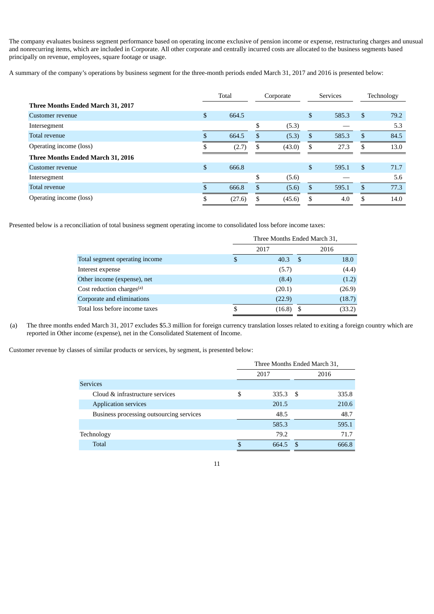The company evaluates business segment performance based on operating income exclusive of pension income or expense, restructuring charges and unusual and nonrecurring items, which are included in Corporate. All other corporate and centrally incurred costs are allocated to the business segments based principally on revenue, employees, square footage or usage.

A summary of the company's operations by business segment for the three-month periods ended March 31, 2017 and 2016 is presented below:

|                                   | Total |        | Corporate |        | <b>Services</b> |       |               | Technology |
|-----------------------------------|-------|--------|-----------|--------|-----------------|-------|---------------|------------|
| Three Months Ended March 31, 2017 |       |        |           |        |                 |       |               |            |
| Customer revenue                  | \$    | 664.5  |           |        | \$              | 585.3 | \$            | 79.2       |
| Intersegment                      |       |        | \$        | (5.3)  |                 |       |               | 5.3        |
| Total revenue                     |       | 664.5  | \$        | (5.3)  | \$              | 585.3 | \$            | 84.5       |
| Operating income (loss)           |       | (2.7)  | \$        | (43.0) | \$              | 27.3  | \$.           | 13.0       |
| Three Months Ended March 31, 2016 |       |        |           |        |                 |       |               |            |
| Customer revenue                  | \$    | 666.8  |           |        | \$              | 595.1 | $\mathcal{S}$ | 71.7       |
| Intersegment                      |       |        | ¢         | (5.6)  |                 |       |               | 5.6        |
| Total revenue                     |       | 666.8  | \$        | (5.6)  | \$              | 595.1 | \$            | 77.3       |
| Operating income (loss)           |       | (27.6) | S         | (45.6) | \$              | 4.0   | \$            | 14.0       |

Presented below is a reconciliation of total business segment operating income to consolidated loss before income taxes:

|                                       | Three Months Ended March 31, |        |    |        |  |  |  |
|---------------------------------------|------------------------------|--------|----|--------|--|--|--|
|                                       |                              | 2017   |    | 2016   |  |  |  |
| Total segment operating income        | \$                           | 40.3   | -S | 18.0   |  |  |  |
| Interest expense                      |                              | (5.7)  |    | (4.4)  |  |  |  |
| Other income (expense), net           |                              | (8.4)  |    | (1.2)  |  |  |  |
| Cost reduction charges <sup>(a)</sup> |                              | (20.1) |    | (26.9) |  |  |  |
| Corporate and eliminations            |                              | (22.9) |    | (18.7) |  |  |  |
| Total loss before income taxes        | \$                           | (16.8) |    | (33.2) |  |  |  |

(a) The three months ended March 31, 2017 excludes \$5.3 million for foreign currency translation losses related to exiting a foreign country which are reported in Other income (expense), net in the Consolidated Statement of Income.

Customer revenue by classes of similar products or services, by segment, is presented below:

|                                          | Three Months Ended March 31, |       |      |       |  |  |
|------------------------------------------|------------------------------|-------|------|-------|--|--|
|                                          |                              | 2017  |      | 2016  |  |  |
| <b>Services</b>                          |                              |       |      |       |  |  |
| Cloud & infrastructure services          | \$                           | 335.3 | - \$ | 335.8 |  |  |
| <b>Application services</b>              |                              | 201.5 |      | 210.6 |  |  |
| Business processing outsourcing services |                              | 48.5  |      | 48.7  |  |  |
|                                          |                              | 585.3 |      | 595.1 |  |  |
| Technology                               |                              | 79.2  |      | 71.7  |  |  |
| <b>Total</b>                             | \$                           | 664.5 |      | 666.8 |  |  |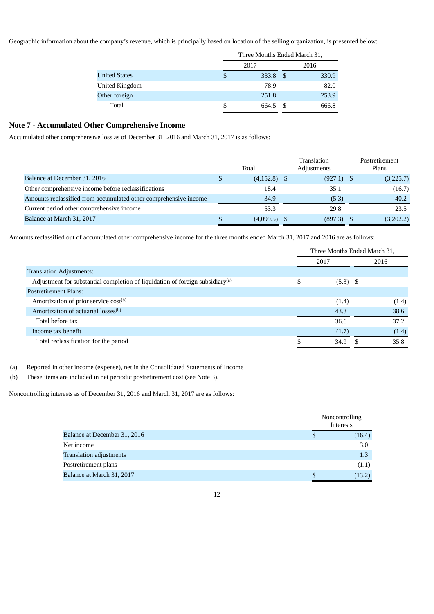Geographic information about the company's revenue, which is principally based on location of the selling organization, is presented below:

|                      | Three Months Ended March 31, |       |      |       |  |  |
|----------------------|------------------------------|-------|------|-------|--|--|
|                      |                              | 2017  | 2016 |       |  |  |
| <b>United States</b> | S                            | 333.8 | - \$ | 330.9 |  |  |
| United Kingdom       |                              | 78.9  |      | 82.0  |  |  |
| Other foreign        |                              | 251.8 |      | 253.9 |  |  |
| Total                | \$                           | 664.5 |      | 666.8 |  |  |

## **Note 7 - Accumulated Other Comprehensive Income**

Accumulated other comprehensive loss as of December 31, 2016 and March 31, 2017 is as follows:

|                                                                  | Total |                |  | Translation<br>Adjustments | Postretirement<br>Plans |
|------------------------------------------------------------------|-------|----------------|--|----------------------------|-------------------------|
| Balance at December 31, 2016                                     | \$    | $(4,152.8)$ \$ |  | $(927.1)$ \$               | (3,225.7)               |
| Other comprehensive income before reclassifications              |       | 18.4           |  | 35.1                       | (16.7)                  |
| Amounts reclassified from accumulated other comprehensive income |       | 34.9           |  | (5.3)                      | 40.2                    |
| Current period other comprehensive income                        |       | 53.3           |  | 29.8                       | 23.5                    |
| Balance at March 31, 2017                                        | S     | $(4,099.5)$ \$ |  | $(897.3)$ \$               | (3,202.2)               |

Amounts reclassified out of accumulated other comprehensive income for the three months ended March 31, 2017 and 2016 are as follows:

|                                                                                           | Three Months Ended March 31, |            |  |       |
|-------------------------------------------------------------------------------------------|------------------------------|------------|--|-------|
|                                                                                           |                              | 2017       |  | 2016  |
| <b>Translation Adjustments:</b>                                                           |                              |            |  |       |
| Adjustment for substantial completion of liquidation of foreign subsidiary <sup>(a)</sup> | \$                           | $(5.3)$ \$ |  |       |
| <b>Postretirement Plans:</b>                                                              |                              |            |  |       |
| Amortization of prior service cost <sup>(b)</sup>                                         |                              | (1.4)      |  | (1.4) |
| Amortization of actuarial losses <sup>(b)</sup>                                           |                              | 43.3       |  | 38.6  |
| Total before tax                                                                          |                              | 36.6       |  | 37.2  |
| Income tax benefit                                                                        |                              | (1.7)      |  | (1.4) |
| Total reclassification for the period                                                     |                              | 34.9       |  | 35.8  |

(a) Reported in other income (expense), net in the Consolidated Statements of Income

(b) These items are included in net periodic postretirement cost (see Note 3).

Noncontrolling interests as of December 31, 2016 and March 31, 2017 are as follows:

|                                |    | Noncontrolling<br><b>Interests</b> |
|--------------------------------|----|------------------------------------|
| Balance at December 31, 2016   | S  | (16.4)                             |
| Net income                     |    | 3.0                                |
| <b>Translation adjustments</b> |    | 1.3                                |
| Postretirement plans           |    | (1.1)                              |
| Balance at March 31, 2017      | \$ | (13.2)                             |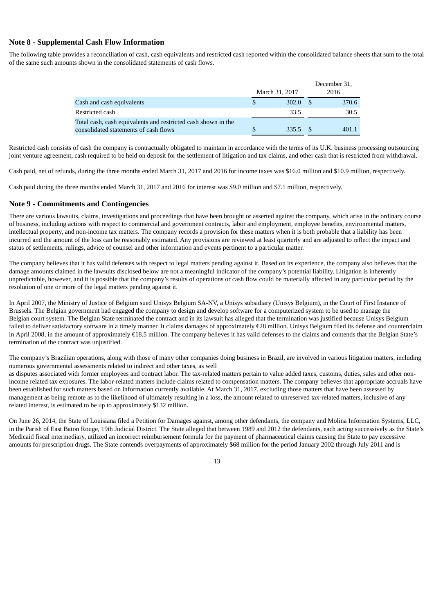### **Note 8 - Supplemental Cash Flow Information**

The following table provides a reconciliation of cash, cash equivalents and restricted cash reported within the consolidated balance sheets that sum to the total of the same such amounts shown in the consolidated statements of cash flows.

|                                                                                                        | March 31, 2017 | December 31,<br>2016 |
|--------------------------------------------------------------------------------------------------------|----------------|----------------------|
| Cash and cash equivalents                                                                              | 302.0          | 370.6                |
| Restricted cash                                                                                        | 33.5           | 30.5                 |
| Total cash, cash equivalents and restricted cash shown in the<br>consolidated statements of cash flows | 335.5          | 401.1                |

Restricted cash consists of cash the company is contractually obligated to maintain in accordance with the terms of its U.K. business processing outsourcing joint venture agreement, cash required to be held on deposit for the settlement of litigation and tax claims, and other cash that is restricted from withdrawal.

Cash paid, net of refunds, during the three months ended March 31, 2017 and 2016 for income taxes was \$16.0 million and \$10.9 million, respectively.

Cash paid during the three months ended March 31, 2017 and 2016 for interest was \$9.0 million and \$7.1 million, respectively.

### **Note 9 - Commitments and Contingencies**

There are various lawsuits, claims, investigations and proceedings that have been brought or asserted against the company, which arise in the ordinary course of business, including actions with respect to commercial and government contracts, labor and employment, employee benefits, environmental matters, intellectual property, and non-income tax matters. The company records a provision for these matters when it is both probable that a liability has been incurred and the amount of the loss can be reasonably estimated. Any provisions are reviewed at least quarterly and are adjusted to reflect the impact and status of settlements, rulings, advice of counsel and other information and events pertinent to a particular matter.

The company believes that it has valid defenses with respect to legal matters pending against it. Based on its experience, the company also believes that the damage amounts claimed in the lawsuits disclosed below are not a meaningful indicator of the company's potential liability. Litigation is inherently unpredictable, however, and it is possible that the company's results of operations or cash flow could be materially affected in any particular period by the resolution of one or more of the legal matters pending against it.

In April 2007, the Ministry of Justice of Belgium sued Unisys Belgium SA-NV, a Unisys subsidiary (Unisys Belgium), in the Court of First Instance of Brussels. The Belgian government had engaged the company to design and develop software for a computerized system to be used to manage the Belgian court system. The Belgian State terminated the contract and in its lawsuit has alleged that the termination was justified because Unisys Belgium failed to deliver satisfactory software in a timely manner. It claims damages of approximately €28 million. Unisys Belgium filed its defense and counterclaim in April 2008, in the amount of approximately €18.5 million. The company believes it has valid defenses to the claims and contends that the Belgian State's termination of the contract was unjustified.

The company's Brazilian operations, along with those of many other companies doing business in Brazil, are involved in various litigation matters, including numerous governmental assessments related to indirect and other taxes, as well

as disputes associated with former employees and contract labor. The tax-related matters pertain to value added taxes, customs, duties, sales and other nonincome related tax exposures. The labor-related matters include claims related to compensation matters. The company believes that appropriate accruals have been established for such matters based on information currently available. At March 31, 2017, excluding those matters that have been assessed by management as being remote as to the likelihood of ultimately resulting in a loss, the amount related to unreserved tax-related matters, inclusive of any related interest, is estimated to be up to approximately \$132 million.

On June 26, 2014, the State of Louisiana filed a Petition for Damages against, among other defendants, the company and Molina Information Systems, LLC, in the Parish of East Baton Rouge, 19th Judicial District. The State alleged that between 1989 and 2012 the defendants, each acting successively as the State's Medicaid fiscal intermediary, utilized an incorrect reimbursement formula for the payment of pharmaceutical claims causing the State to pay excessive amounts for prescription drugs. The State contends overpayments of approximately \$68 million for the period January 2002 through July 2011 and is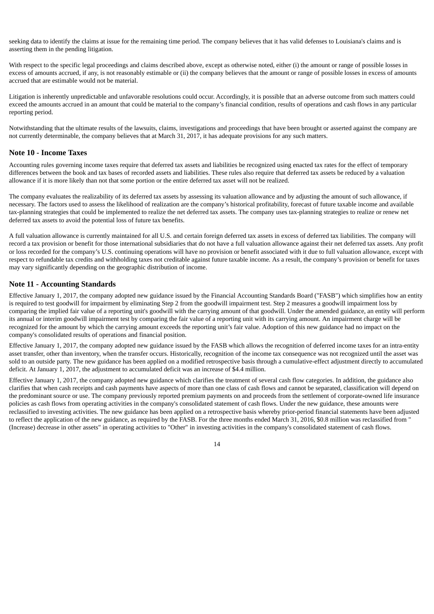seeking data to identify the claims at issue for the remaining time period. The company believes that it has valid defenses to Louisiana's claims and is asserting them in the pending litigation.

With respect to the specific legal proceedings and claims described above, except as otherwise noted, either (i) the amount or range of possible losses in excess of amounts accrued, if any, is not reasonably estimable or (ii) the company believes that the amount or range of possible losses in excess of amounts accrued that are estimable would not be material.

Litigation is inherently unpredictable and unfavorable resolutions could occur. Accordingly, it is possible that an adverse outcome from such matters could exceed the amounts accrued in an amount that could be material to the company's financial condition, results of operations and cash flows in any particular reporting period.

Notwithstanding that the ultimate results of the lawsuits, claims, investigations and proceedings that have been brought or asserted against the company are not currently determinable, the company believes that at March 31, 2017, it has adequate provisions for any such matters.

#### **Note 10 - Income Taxes**

Accounting rules governing income taxes require that deferred tax assets and liabilities be recognized using enacted tax rates for the effect of temporary differences between the book and tax bases of recorded assets and liabilities. These rules also require that deferred tax assets be reduced by a valuation allowance if it is more likely than not that some portion or the entire deferred tax asset will not be realized.

The company evaluates the realizability of its deferred tax assets by assessing its valuation allowance and by adjusting the amount of such allowance, if necessary. The factors used to assess the likelihood of realization are the company's historical profitability, forecast of future taxable income and available tax-planning strategies that could be implemented to realize the net deferred tax assets. The company uses tax-planning strategies to realize or renew net deferred tax assets to avoid the potential loss of future tax benefits.

A full valuation allowance is currently maintained for all U.S. and certain foreign deferred tax assets in excess of deferred tax liabilities. The company will record a tax provision or benefit for those international subsidiaries that do not have a full valuation allowance against their net deferred tax assets. Any profit or loss recorded for the company's U.S. continuing operations will have no provision or benefit associated with it due to full valuation allowance, except with respect to refundable tax credits and withholding taxes not creditable against future taxable income. As a result, the company's provision or benefit for taxes may vary significantly depending on the geographic distribution of income.

#### **Note 11 - Accounting Standards**

Effective January 1, 2017, the company adopted new guidance issued by the Financial Accounting Standards Board ("FASB") which simplifies how an entity is required to test goodwill for impairment by eliminating Step 2 from the goodwill impairment test. Step 2 measures a goodwill impairment loss by comparing the implied fair value of a reporting unit's goodwill with the carrying amount of that goodwill. Under the amended guidance, an entity will perform its annual or interim goodwill impairment test by comparing the fair value of a reporting unit with its carrying amount. An impairment charge will be recognized for the amount by which the carrying amount exceeds the reporting unit's fair value. Adoption of this new guidance had no impact on the company's consolidated results of operations and financial position.

Effective January 1, 2017, the company adopted new guidance issued by the FASB which allows the recognition of deferred income taxes for an intra-entity asset transfer, other than inventory, when the transfer occurs. Historically, recognition of the income tax consequence was not recognized until the asset was sold to an outside party. The new guidance has been applied on a modified retrospective basis through a cumulative-effect adjustment directly to accumulated deficit. At January 1, 2017, the adjustment to accumulated deficit was an increase of \$4.4 million.

Effective January 1, 2017, the company adopted new guidance which clarifies the treatment of several cash flow categories. In addition, the guidance also clarifies that when cash receipts and cash payments have aspects of more than one class of cash flows and cannot be separated, classification will depend on the predominant source or use. The company previously reported premium payments on and proceeds from the settlement of corporate-owned life insurance policies as cash flows from operating activities in the company's consolidated statement of cash flows. Under the new guidance, these amounts were reclassified to investing activities. The new guidance has been applied on a retrospective basis whereby prior-period financial statements have been adjusted to reflect the application of the new guidance, as required by the FASB. For the three months ended March 31, 2016, \$0.8 million was reclassified from " (Increase) decrease in other assets" in operating activities to "Other" in investing activities in the company's consolidated statement of cash flows.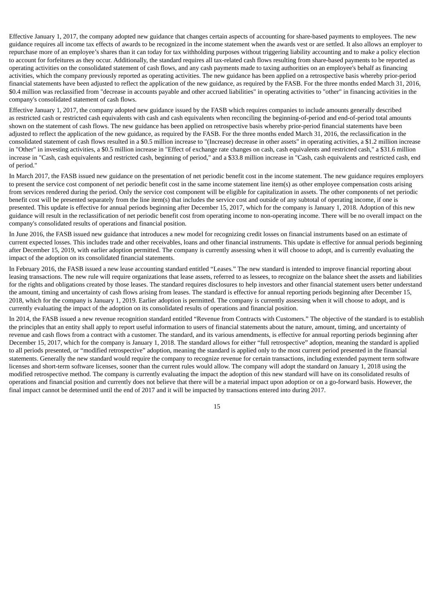Effective January 1, 2017, the company adopted new guidance that changes certain aspects of accounting for share-based payments to employees. The new guidance requires all income tax effects of awards to be recognized in the income statement when the awards vest or are settled. It also allows an employer to repurchase more of an employee's shares than it can today for tax withholding purposes without triggering liability accounting and to make a policy election to account for forfeitures as they occur. Additionally, the standard requires all tax-related cash flows resulting from share-based payments to be reported as operating activities on the consolidated statement of cash flows, and any cash payments made to taxing authorities on an employee's behalf as financing activities, which the company previously reported as operating activities. The new guidance has been applied on a retrospective basis whereby prior-period financial statements have been adjusted to reflect the application of the new guidance, as required by the FASB. For the three months ended March 31, 2016, \$0.4 million was reclassified from "decrease in accounts payable and other accrued liabilities" in operating activities to "other" in financing activities in the company's consolidated statement of cash flows.

Effective January 1, 2017, the company adopted new guidance issued by the FASB which requires companies to include amounts generally described as restricted cash or restricted cash equivalents with cash and cash equivalents when reconciling the beginning-of-period and end-of-period total amounts shown on the statement of cash flows. The new guidance has been applied on retrospective basis whereby prior-period financial statements have been adjusted to reflect the application of the new guidance, as required by the FASB. For the three months ended March 31, 2016, the reclassification in the consolidated statement of cash flows resulted in a \$0.5 million increase to "(Increase) decrease in other assets" in operating activities, a \$1.2 million increase in "Other" in investing activities, a \$0.5 million increase in "Effect of exchange rate changes on cash, cash equivalents and restricted cash," a \$31.6 million increase in "Cash, cash equivalents and restricted cash, beginning of period," and a \$33.8 million increase in "Cash, cash equivalents and restricted cash, end of period."

In March 2017, the FASB issued new guidance on the presentation of net periodic benefit cost in the income statement. The new guidance requires employers to present the service cost component of net periodic benefit cost in the same income statement line item(s) as other employee compensation costs arising from services rendered during the period. Only the service cost component will be eligible for capitalization in assets. The other components of net periodic benefit cost will be presented separately from the line item(s) that includes the service cost and outside of any subtotal of operating income, if one is presented. This update is effective for annual periods beginning after December 15, 2017, which for the company is January 1, 2018. Adoption of this new guidance will result in the reclassification of net periodic benefit cost from operating income to non-operating income. There will be no overall impact on the company's consolidated results of operations and financial position.

In June 2016, the FASB issued new guidance that introduces a new model for recognizing credit losses on financial instruments based on an estimate of current expected losses. This includes trade and other receivables, loans and other financial instruments. This update is effective for annual periods beginning after December 15, 2019, with earlier adoption permitted. The company is currently assessing when it will choose to adopt, and is currently evaluating the impact of the adoption on its consolidated financial statements.

In February 2016, the FASB issued a new lease accounting standard entitled "Leases." The new standard is intended to improve financial reporting about leasing transactions. The new rule will require organizations that lease assets, referred to as lessees, to recognize on the balance sheet the assets and liabilities for the rights and obligations created by those leases. The standard requires disclosures to help investors and other financial statement users better understand the amount, timing and uncertainty of cash flows arising from leases. The standard is effective for annual reporting periods beginning after December 15, 2018, which for the company is January 1, 2019. Earlier adoption is permitted. The company is currently assessing when it will choose to adopt, and is currently evaluating the impact of the adoption on its consolidated results of operations and financial position.

In 2014, the FASB issued a new revenue recognition standard entitled "Revenue from Contracts with Customers." The objective of the standard is to establish the principles that an entity shall apply to report useful information to users of financial statements about the nature, amount, timing, and uncertainty of revenue and cash flows from a contract with a customer. The standard, and its various amendments, is effective for annual reporting periods beginning after December 15, 2017, which for the company is January 1, 2018. The standard allows for either "full retrospective" adoption, meaning the standard is applied to all periods presented, or "modified retrospective" adoption, meaning the standard is applied only to the most current period presented in the financial statements. Generally the new standard would require the company to recognize revenue for certain transactions, including extended payment term software licenses and short-term software licenses, sooner than the current rules would allow. The company will adopt the standard on January 1, 2018 using the modified retrospective method. The company is currently evaluating the impact the adoption of this new standard will have on its consolidated results of operations and financial position and currently does not believe that there will be a material impact upon adoption or on a go-forward basis. However, the final impact cannot be determined until the end of 2017 and it will be impacted by transactions entered into during 2017.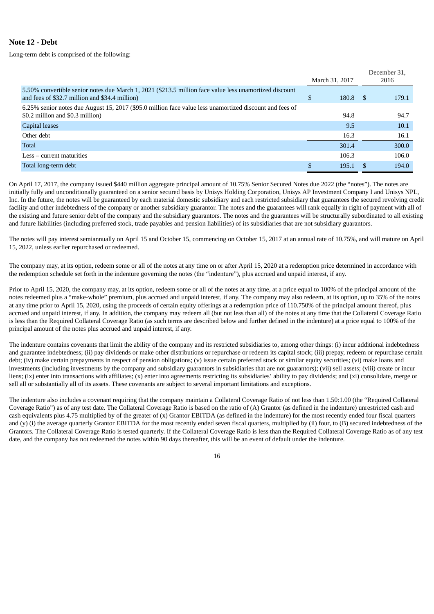#### **Note 12 - Debt**

Long-term debt is comprised of the following:

|                                                                                                                                                          | March 31, 2017 |     | December 31,<br>2016 |
|----------------------------------------------------------------------------------------------------------------------------------------------------------|----------------|-----|----------------------|
| 5.50% convertible senior notes due March 1, 2021 (\$213.5 million face value less unamortized discount<br>and fees of \$32.7 million and \$34.4 million) | 180.8          | \$. | 179.1                |
| 6.25% senior notes due August 15, 2017 (\$95.0 million face value less unamortized discount and fees of<br>\$0.2 million and \$0.3 million)              | 94.8           |     | 94.7                 |
| Capital leases                                                                                                                                           | 9.5            |     | 10.1                 |
| Other debt                                                                                                                                               | 16.3           |     | 16.1                 |
| <b>Total</b>                                                                                                                                             | 301.4          |     | 300.0                |
| $Less - current$ maturities                                                                                                                              | 106.3          |     | 106.0                |
| Total long-term debt                                                                                                                                     | 195.1          | S.  | 194.0                |

On April 17, 2017, the company issued \$440 million aggregate principal amount of 10.75% Senior Secured Notes due 2022 (the "notes"). The notes are initially fully and unconditionally guaranteed on a senior secured basis by Unisys Holding Corporation, Unisys AP Investment Company I and Unisys NPL, Inc. In the future, the notes will be guaranteed by each material domestic subsidiary and each restricted subsidiary that guarantees the secured revolving credit facility and other indebtedness of the company or another subsidiary guarantor. The notes and the guarantees will rank equally in right of payment with all of the existing and future senior debt of the company and the subsidiary guarantors. The notes and the guarantees will be structurally subordinated to all existing and future liabilities (including preferred stock, trade payables and pension liabilities) of its subsidiaries that are not subsidiary guarantors.

The notes will pay interest semiannually on April 15 and October 15, commencing on October 15, 2017 at an annual rate of 10.75%, and will mature on April 15, 2022, unless earlier repurchased or redeemed.

The company may, at its option, redeem some or all of the notes at any time on or after April 15, 2020 at a redemption price determined in accordance with the redemption schedule set forth in the indenture governing the notes (the "indenture"), plus accrued and unpaid interest, if any.

Prior to April 15, 2020, the company may, at its option, redeem some or all of the notes at any time, at a price equal to 100% of the principal amount of the notes redeemed plus a "make-whole" premium, plus accrued and unpaid interest, if any. The company may also redeem, at its option, up to 35% of the notes at any time prior to April 15, 2020, using the proceeds of certain equity offerings at a redemption price of 110.750% of the principal amount thereof, plus accrued and unpaid interest, if any. In addition, the company may redeem all (but not less than all) of the notes at any time that the Collateral Coverage Ratio is less than the Required Collateral Coverage Ratio (as such terms are described below and further defined in the indenture) at a price equal to 100% of the principal amount of the notes plus accrued and unpaid interest, if any.

The indenture contains covenants that limit the ability of the company and its restricted subsidiaries to, among other things: (i) incur additional indebtedness and guarantee indebtedness; (ii) pay dividends or make other distributions or repurchase or redeem its capital stock; (iii) prepay, redeem or repurchase certain debt; (iv) make certain prepayments in respect of pension obligations; (v) issue certain preferred stock or similar equity securities; (vi) make loans and investments (including investments by the company and subsidiary guarantors in subsidiaries that are not guarantors); (vii) sell assets; (viii) create or incur liens; (ix) enter into transactions with affiliates; (x) enter into agreements restricting its subsidiaries' ability to pay dividends; and (xi) consolidate, merge or sell all or substantially all of its assets. These covenants are subject to several important limitations and exceptions.

The indenture also includes a covenant requiring that the company maintain a Collateral Coverage Ratio of not less than 1.50:1.00 (the "Required Collateral Coverage Ratio") as of any test date. The Collateral Coverage Ratio is based on the ratio of (A) Grantor (as defined in the indenture) unrestricted cash and cash equivalents plus 4.75 multiplied by of the greater of (x) Grantor EBITDA (as defined in the indenture) for the most recently ended four fiscal quarters and (y) (i) the average quarterly Grantor EBITDA for the most recently ended seven fiscal quarters, multiplied by (ii) four, to (B) secured indebtedness of the Grantors. The Collateral Coverage Ratio is tested quarterly. If the Collateral Coverage Ratio is less than the Required Collateral Coverage Ratio as of any test date, and the company has not redeemed the notes within 90 days thereafter, this will be an event of default under the indenture.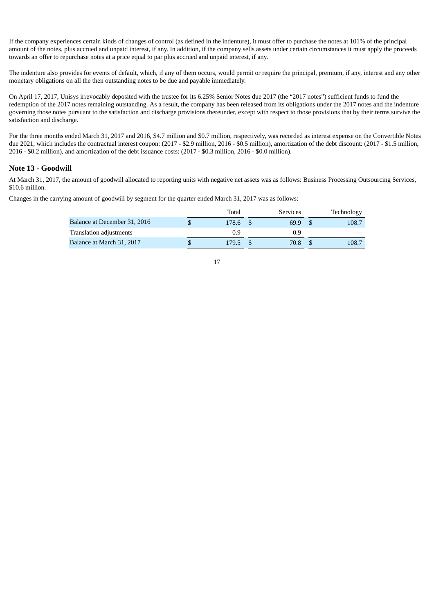If the company experiences certain kinds of changes of control (as defined in the indenture), it must offer to purchase the notes at 101% of the principal amount of the notes, plus accrued and unpaid interest, if any. In addition, if the company sells assets under certain circumstances it must apply the proceeds towards an offer to repurchase notes at a price equal to par plus accrued and unpaid interest, if any.

The indenture also provides for events of default, which, if any of them occurs, would permit or require the principal, premium, if any, interest and any other monetary obligations on all the then outstanding notes to be due and payable immediately.

On April 17, 2017, Unisys irrevocably deposited with the trustee for its 6.25% Senior Notes due 2017 (the "2017 notes") sufficient funds to fund the redemption of the 2017 notes remaining outstanding. As a result, the company has been released from its obligations under the 2017 notes and the indenture governing those notes pursuant to the satisfaction and discharge provisions thereunder, except with respect to those provisions that by their terms survive the satisfaction and discharge.

For the three months ended March 31, 2017 and 2016, \$4.7 million and \$0.7 million, respectively, was recorded as interest expense on the Convertible Notes due 2021, which includes the contractual interest coupon: (2017 - \$2.9 million, 2016 - \$0.5 million), amortization of the debt discount: (2017 - \$1.5 million, 2016 - \$0.2 million), and amortization of the debt issuance costs: (2017 - \$0.3 million, 2016 - \$0.0 million).

### **Note 13 - Goodwill**

At March 31, 2017, the amount of goodwill allocated to reporting units with negative net assets was as follows: Business Processing Outsourcing Services, \$10.6 million.

Changes in the carrying amount of goodwill by segment for the quarter ended March 31, 2017 was as follows:

|                              | Total | <b>Services</b> | Technology |
|------------------------------|-------|-----------------|------------|
| Balance at December 31, 2016 | 178.6 | 69.9            | 108.7      |
| Translation adjustments      | 0.9   | 0.9             |            |
| Balance at March 31, 2017    | 179.5 | 70.8            | 108.7      |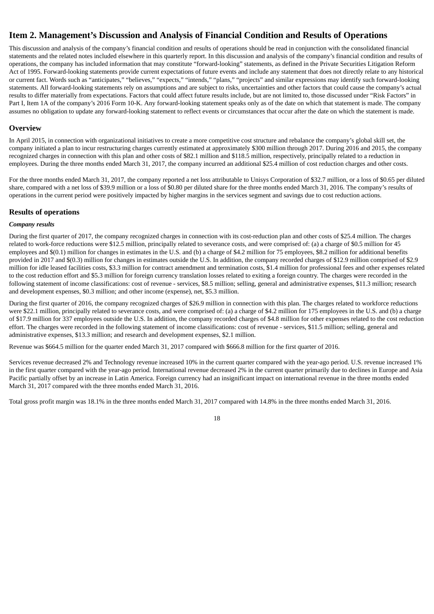## **Item 2. Management's Discussion and Analysis of Financial Condition and Results of Operations**

This discussion and analysis of the company's financial condition and results of operations should be read in conjunction with the consolidated financial statements and the related notes included elsewhere in this quarterly report. In this discussion and analysis of the company's financial condition and results of operations, the company has included information that may constitute "forward-looking" statements, as defined in the Private Securities Litigation Reform Act of 1995. Forward-looking statements provide current expectations of future events and include any statement that does not directly relate to any historical or current fact. Words such as "anticipates," "believes," "expects," "intends," "plans," "projects" and similar expressions may identify such forward-looking statements. All forward-looking statements rely on assumptions and are subject to risks, uncertainties and other factors that could cause the company's actual results to differ materially from expectations. Factors that could affect future results include, but are not limited to, those discussed under "Risk Factors" in Part I, Item 1A of the company's 2016 Form 10-K. Any forward-looking statement speaks only as of the date on which that statement is made. The company assumes no obligation to update any forward-looking statement to reflect events or circumstances that occur after the date on which the statement is made.

#### **Overview**

In April 2015, in connection with organizational initiatives to create a more competitive cost structure and rebalance the company's global skill set, the company initiated a plan to incur restructuring charges currently estimated at approximately \$300 million through 2017. During 2016 and 2015, the company recognized charges in connection with this plan and other costs of \$82.1 million and \$118.5 million, respectively, principally related to a reduction in employees. During the three months ended March 31, 2017, the company incurred an additional \$25.4 million of cost reduction charges and other costs.

For the three months ended March 31, 2017, the company reported a net loss attributable to Unisys Corporation of \$32.7 million, or a loss of \$0.65 per diluted share, compared with a net loss of \$39.9 million or a loss of \$0.80 per diluted share for the three months ended March 31, 2016. The company's results of operations in the current period were positively impacted by higher margins in the services segment and savings due to cost reduction actions.

#### **Results of operations**

#### *Company results*

During the first quarter of 2017, the company recognized charges in connection with its cost-reduction plan and other costs of \$25.4 million. The charges related to work-force reductions were \$12.5 million, principally related to severance costs, and were comprised of: (a) a charge of \$0.5 million for 45 employees and \$(0.1) million for changes in estimates in the U.S. and (b) a charge of \$4.2 million for 75 employees, \$8.2 million for additional benefits provided in 2017 and \$(0.3) million for changes in estimates outside the U.S. In addition, the company recorded charges of \$12.9 million comprised of \$2.9 million for idle leased facilities costs, \$3.3 million for contract amendment and termination costs, \$1.4 million for professional fees and other expenses related to the cost reduction effort and \$5.3 million for foreign currency translation losses related to exiting a foreign country. The charges were recorded in the following statement of income classifications: cost of revenue - services, \$8.5 million; selling, general and administrative expenses, \$11.3 million; research and development expenses, \$0.3 million; and other income (expense), net, \$5.3 million.

During the first quarter of 2016, the company recognized charges of \$26.9 million in connection with this plan. The charges related to workforce reductions were \$22.1 million, principally related to severance costs, and were comprised of: (a) a charge of \$4.2 million for 175 employees in the U.S. and (b) a charge of \$17.9 million for 337 employees outside the U.S. In addition, the company recorded charges of \$4.8 million for other expenses related to the cost reduction effort. The charges were recorded in the following statement of income classifications: cost of revenue - services, \$11.5 million; selling, general and administrative expenses, \$13.3 million; and research and development expenses, \$2.1 million.

Revenue was \$664.5 million for the quarter ended March 31, 2017 compared with \$666.8 million for the first quarter of 2016.

Services revenue decreased 2% and Technology revenue increased 10% in the current quarter compared with the year-ago period. U.S. revenue increased 1% in the first quarter compared with the year-ago period. International revenue decreased 2% in the current quarter primarily due to declines in Europe and Asia Pacific partially offset by an increase in Latin America. Foreign currency had an insignificant impact on international revenue in the three months ended March 31, 2017 compared with the three months ended March 31, 2016.

Total gross profit margin was 18.1% in the three months ended March 31, 2017 compared with 14.8% in the three months ended March 31, 2016.

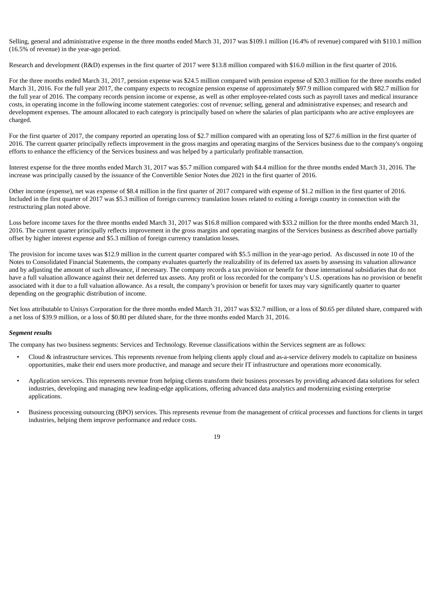Selling, general and administrative expense in the three months ended March 31, 2017 was \$109.1 million (16.4% of revenue) compared with \$110.1 million (16.5% of revenue) in the year-ago period.

Research and development (R&D) expenses in the first quarter of 2017 were \$13.8 million compared with \$16.0 million in the first quarter of 2016.

For the three months ended March 31, 2017, pension expense was \$24.5 million compared with pension expense of \$20.3 million for the three months ended March 31, 2016. For the full year 2017, the company expects to recognize pension expense of approximately \$97.9 million compared with \$82.7 million for the full year of 2016. The company records pension income or expense, as well as other employee-related costs such as payroll taxes and medical insurance costs, in operating income in the following income statement categories: cost of revenue; selling, general and administrative expenses; and research and development expenses. The amount allocated to each category is principally based on where the salaries of plan participants who are active employees are charged.

For the first quarter of 2017, the company reported an operating loss of \$2.7 million compared with an operating loss of \$27.6 million in the first quarter of 2016. The current quarter principally reflects improvement in the gross margins and operating margins of the Services business due to the company's ongoing efforts to enhance the efficiency of the Services business and was helped by a particularly profitable transaction.

Interest expense for the three months ended March 31, 2017 was \$5.7 million compared with \$4.4 million for the three months ended March 31, 2016. The increase was principally caused by the issuance of the Convertible Senior Notes due 2021 in the first quarter of 2016.

Other income (expense), net was expense of \$8.4 million in the first quarter of 2017 compared with expense of \$1.2 million in the first quarter of 2016. Included in the first quarter of 2017 was \$5.3 million of foreign currency translation losses related to exiting a foreign country in connection with the restructuring plan noted above.

Loss before income taxes for the three months ended March 31, 2017 was \$16.8 million compared with \$33.2 million for the three months ended March 31, 2016. The current quarter principally reflects improvement in the gross margins and operating margins of the Services business as described above partially offset by higher interest expense and \$5.3 million of foreign currency translation losses.

The provision for income taxes was \$12.9 million in the current quarter compared with \$5.5 million in the year-ago period. As discussed in note 10 of the Notes to Consolidated Financial Statements, the company evaluates quarterly the realizability of its deferred tax assets by assessing its valuation allowance and by adjusting the amount of such allowance, if necessary. The company records a tax provision or benefit for those international subsidiaries that do not have a full valuation allowance against their net deferred tax assets. Any profit or loss recorded for the company's U.S. operations has no provision or benefit associated with it due to a full valuation allowance. As a result, the company's provision or benefit for taxes may vary significantly quarter to quarter depending on the geographic distribution of income.

Net loss attributable to Unisys Corporation for the three months ended March 31, 2017 was \$32.7 million, or a loss of \$0.65 per diluted share, compared with a net loss of \$39.9 million, or a loss of \$0.80 per diluted share, for the three months ended March 31, 2016.

#### *Segment results*

The company has two business segments: Services and Technology. Revenue classifications within the Services segment are as follows:

- Cloud & infrastructure services. This represents revenue from helping clients apply cloud and as-a-service delivery models to capitalize on business opportunities, make their end users more productive, and manage and secure their IT infrastructure and operations more economically.
- Application services. This represents revenue from helping clients transform their business processes by providing advanced data solutions for select industries, developing and managing new leading-edge applications, offering advanced data analytics and modernizing existing enterprise applications.
- Business processing outsourcing (BPO) services. This represents revenue from the management of critical processes and functions for clients in target industries, helping them improve performance and reduce costs.

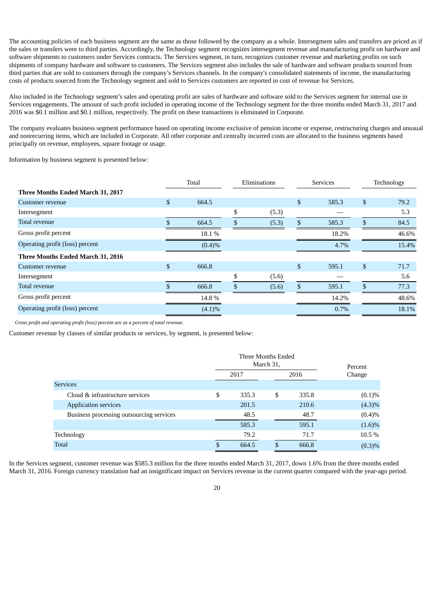The accounting policies of each business segment are the same as those followed by the company as a whole. Intersegment sales and transfers are priced as if the sales or transfers were to third parties. Accordingly, the Technology segment recognizes intersegment revenue and manufacturing profit on hardware and software shipments to customers under Services contracts. The Services segment, in turn, recognizes customer revenue and marketing profits on such shipments of company hardware and software to customers. The Services segment also includes the sale of hardware and software products sourced from third parties that are sold to customers through the company's Services channels. In the company's consolidated statements of income, the manufacturing costs of products sourced from the Technology segment and sold to Services customers are reported in cost of revenue for Services.

Also included in the Technology segment's sales and operating profit are sales of hardware and software sold to the Services segment for internal use in Services engagements. The amount of such profit included in operating income of the Technology segment for the three months ended March 31, 2017 and 2016 was \$0.1 million and \$0.1 million, respectively. The profit on these transactions is eliminated in Corporate.

The company evaluates business segment performance based on operating income exclusive of pension income or expense, restructuring charges and unusual and nonrecurring items, which are included in Corporate. All other corporate and centrally incurred costs are allocated to the business segments based principally on revenue, employees, square footage or usage.

Information by business segment is presented below:

|                                   | Total       | Eliminations |       |                | <b>Services</b> | Technology |       |
|-----------------------------------|-------------|--------------|-------|----------------|-----------------|------------|-------|
| Three Months Ended March 31, 2017 |             |              |       |                |                 |            |       |
| Customer revenue                  | \$<br>664.5 |              |       | \$             | 585.3           | \$         | 79.2  |
| Intersegment                      |             | \$           | (5.3) |                |                 |            | 5.3   |
| Total revenue                     | \$<br>664.5 | \$.          | (5.3) | \$.            | 585.3           | \$         | 84.5  |
| Gross profit percent              | 18.1%       |              |       |                | 18.2%           |            | 46.6% |
| Operating profit (loss) percent   | $(0.4)\%$   |              |       |                | 4.7%            |            | 15.4% |
| Three Months Ended March 31, 2016 |             |              |       |                |                 |            |       |
| Customer revenue                  | \$<br>666.8 |              |       | \$             | 595.1           | \$         | 71.7  |
| Intersegment                      |             | \$           | (5.6) |                |                 |            | 5.6   |
| Total revenue                     | \$<br>666.8 | \$           | (5.6) | $\mathfrak{L}$ | 595.1           | \$         | 77.3  |
| Gross profit percent              | 14.8%       |              |       |                | 14.2%           |            | 48.6% |
| Operating profit (loss) percent   | $(4.1)\%$   |              |       |                | $0.7\%$         |            | 18.1% |

*Gross profit and operating profit (loss) percent are as a percent of total revenue.*

Customer revenue by classes of similar products or services, by segment, is presented below:

|                                          | Three Months Ended<br>March 31, | Percent |        |           |  |
|------------------------------------------|---------------------------------|---------|--------|-----------|--|
|                                          | 2017                            | 2016    | Change |           |  |
| <b>Services</b>                          |                                 |         |        |           |  |
| Cloud & infrastructure services          | \$<br>335.3                     | \$      | 335.8  | (0.1)%    |  |
| <b>Application services</b>              | 201.5                           |         | 210.6  | $(4.3)\%$ |  |
| Business processing outsourcing services | 48.5                            |         | 48.7   | (0.4)%    |  |
|                                          | 585.3                           |         | 595.1  | $(1.6)\%$ |  |
| Technology                               | 79.2                            |         | 71.7   | 10.5%     |  |
| <b>Total</b>                             | \$<br>664.5                     | \$      | 666.8  | (0.3)%    |  |

In the Services segment, customer revenue was \$585.3 million for the three months ended March 31, 2017, down 1.6% from the three months ended March 31, 2016. Foreign currency translation had an insignificant impact on Services revenue in the current quarter compared with the year-ago period.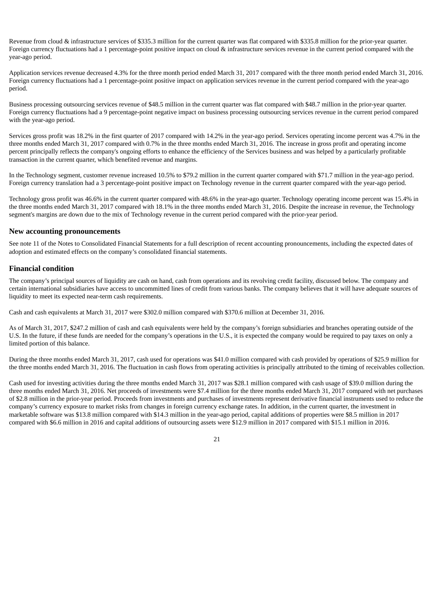Revenue from cloud & infrastructure services of \$335.3 million for the current quarter was flat compared with \$335.8 million for the prior-year quarter. Foreign currency fluctuations had a 1 percentage-point positive impact on cloud & infrastructure services revenue in the current period compared with the year-ago period.

Application services revenue decreased 4.3% for the three month period ended March 31, 2017 compared with the three month period ended March 31, 2016. Foreign currency fluctuations had a 1 percentage-point positive impact on application services revenue in the current period compared with the year-ago period.

Business processing outsourcing services revenue of \$48.5 million in the current quarter was flat compared with \$48.7 million in the prior-year quarter. Foreign currency fluctuations had a 9 percentage-point negative impact on business processing outsourcing services revenue in the current period compared with the year-ago period.

Services gross profit was 18.2% in the first quarter of 2017 compared with 14.2% in the year-ago period. Services operating income percent was 4.7% in the three months ended March 31, 2017 compared with 0.7% in the three months ended March 31, 2016. The increase in gross profit and operating income percent principally reflects the company's ongoing efforts to enhance the efficiency of the Services business and was helped by a particularly profitable transaction in the current quarter, which benefited revenue and margins.

In the Technology segment, customer revenue increased 10.5% to \$79.2 million in the current quarter compared with \$71.7 million in the year-ago period. Foreign currency translation had a 3 percentage-point positive impact on Technology revenue in the current quarter compared with the year-ago period.

Technology gross profit was 46.6% in the current quarter compared with 48.6% in the year-ago quarter. Technology operating income percent was 15.4% in the three months ended March 31, 2017 compared with 18.1% in the three months ended March 31, 2016. Despite the increase in revenue, the Technology segment's margins are down due to the mix of Technology revenue in the current period compared with the prior-year period.

#### **New accounting pronouncements**

See note 11 of the Notes to Consolidated Financial Statements for a full description of recent accounting pronouncements, including the expected dates of adoption and estimated effects on the company's consolidated financial statements.

### **Financial condition**

The company's principal sources of liquidity are cash on hand, cash from operations and its revolving credit facility, discussed below. The company and certain international subsidiaries have access to uncommitted lines of credit from various banks. The company believes that it will have adequate sources of liquidity to meet its expected near-term cash requirements.

Cash and cash equivalents at March 31, 2017 were \$302.0 million compared with \$370.6 million at December 31, 2016.

As of March 31, 2017, \$247.2 million of cash and cash equivalents were held by the company's foreign subsidiaries and branches operating outside of the U.S. In the future, if these funds are needed for the company's operations in the U.S., it is expected the company would be required to pay taxes on only a limited portion of this balance.

During the three months ended March 31, 2017, cash used for operations was \$41.0 million compared with cash provided by operations of \$25.9 million for the three months ended March 31, 2016. The fluctuation in cash flows from operating activities is principally attributed to the timing of receivables collection.

Cash used for investing activities during the three months ended March 31, 2017 was \$28.1 million compared with cash usage of \$39.0 million during the three months ended March 31, 2016. Net proceeds of investments were \$7.4 million for the three months ended March 31, 2017 compared with net purchases of \$2.8 million in the prior-year period. Proceeds from investments and purchases of investments represent derivative financial instruments used to reduce the company's currency exposure to market risks from changes in foreign currency exchange rates. In addition, in the current quarter, the investment in marketable software was \$13.8 million compared with \$14.3 million in the year-ago period, capital additions of properties were \$8.5 million in 2017 compared with \$6.6 million in 2016 and capital additions of outsourcing assets were \$12.9 million in 2017 compared with \$15.1 million in 2016.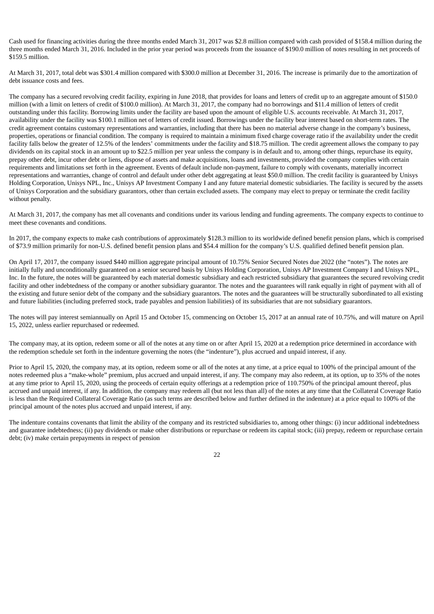Cash used for financing activities during the three months ended March 31, 2017 was \$2.8 million compared with cash provided of \$158.4 million during the three months ended March 31, 2016. Included in the prior year period was proceeds from the issuance of \$190.0 million of notes resulting in net proceeds of \$159.5 million.

At March 31, 2017, total debt was \$301.4 million compared with \$300.0 million at December 31, 2016. The increase is primarily due to the amortization of debt issuance costs and fees.

The company has a secured revolving credit facility, expiring in June 2018, that provides for loans and letters of credit up to an aggregate amount of \$150.0 million (with a limit on letters of credit of \$100.0 million). At March 31, 2017, the company had no borrowings and \$11.4 million of letters of credit outstanding under this facility. Borrowing limits under the facility are based upon the amount of eligible U.S. accounts receivable. At March 31, 2017, availability under the facility was \$100.1 million net of letters of credit issued. Borrowings under the facility bear interest based on short-term rates. The credit agreement contains customary representations and warranties, including that there has been no material adverse change in the company's business, properties, operations or financial condition. The company is required to maintain a minimum fixed charge coverage ratio if the availability under the credit facility falls below the greater of 12.5% of the lenders' commitments under the facility and \$18.75 million. The credit agreement allows the company to pay dividends on its capital stock in an amount up to \$22.5 million per year unless the company is in default and to, among other things, repurchase its equity, prepay other debt, incur other debt or liens, dispose of assets and make acquisitions, loans and investments, provided the company complies with certain requirements and limitations set forth in the agreement. Events of default include non-payment, failure to comply with covenants, materially incorrect representations and warranties, change of control and default under other debt aggregating at least \$50.0 million. The credit facility is guaranteed by Unisys Holding Corporation, Unisys NPL, Inc., Unisys AP Investment Company I and any future material domestic subsidiaries. The facility is secured by the assets of Unisys Corporation and the subsidiary guarantors, other than certain excluded assets. The company may elect to prepay or terminate the credit facility without penalty.

At March 31, 2017, the company has met all covenants and conditions under its various lending and funding agreements. The company expects to continue to meet these covenants and conditions.

In 2017, the company expects to make cash contributions of approximately \$128.3 million to its worldwide defined benefit pension plans, which is comprised of \$73.9 million primarily for non-U.S. defined benefit pension plans and \$54.4 million for the company's U.S. qualified defined benefit pension plan.

On April 17, 2017, the company issued \$440 million aggregate principal amount of 10.75% Senior Secured Notes due 2022 (the "notes"). The notes are initially fully and unconditionally guaranteed on a senior secured basis by Unisys Holding Corporation, Unisys AP Investment Company I and Unisys NPL, Inc. In the future, the notes will be guaranteed by each material domestic subsidiary and each restricted subsidiary that guarantees the secured revolving credit facility and other indebtedness of the company or another subsidiary guarantor. The notes and the guarantees will rank equally in right of payment with all of the existing and future senior debt of the company and the subsidiary guarantors. The notes and the guarantees will be structurally subordinated to all existing and future liabilities (including preferred stock, trade payables and pension liabilities) of its subsidiaries that are not subsidiary guarantors.

The notes will pay interest semiannually on April 15 and October 15, commencing on October 15, 2017 at an annual rate of 10.75%, and will mature on April 15, 2022, unless earlier repurchased or redeemed.

The company may, at its option, redeem some or all of the notes at any time on or after April 15, 2020 at a redemption price determined in accordance with the redemption schedule set forth in the indenture governing the notes (the "indenture"), plus accrued and unpaid interest, if any.

Prior to April 15, 2020, the company may, at its option, redeem some or all of the notes at any time, at a price equal to 100% of the principal amount of the notes redeemed plus a "make-whole" premium, plus accrued and unpaid interest, if any. The company may also redeem, at its option, up to 35% of the notes at any time prior to April 15, 2020, using the proceeds of certain equity offerings at a redemption price of 110.750% of the principal amount thereof, plus accrued and unpaid interest, if any. In addition, the company may redeem all (but not less than all) of the notes at any time that the Collateral Coverage Ratio is less than the Required Collateral Coverage Ratio (as such terms are described below and further defined in the indenture) at a price equal to 100% of the principal amount of the notes plus accrued and unpaid interest, if any.

The indenture contains covenants that limit the ability of the company and its restricted subsidiaries to, among other things: (i) incur additional indebtedness and guarantee indebtedness; (ii) pay dividends or make other distributions or repurchase or redeem its capital stock; (iii) prepay, redeem or repurchase certain debt; (iv) make certain prepayments in respect of pension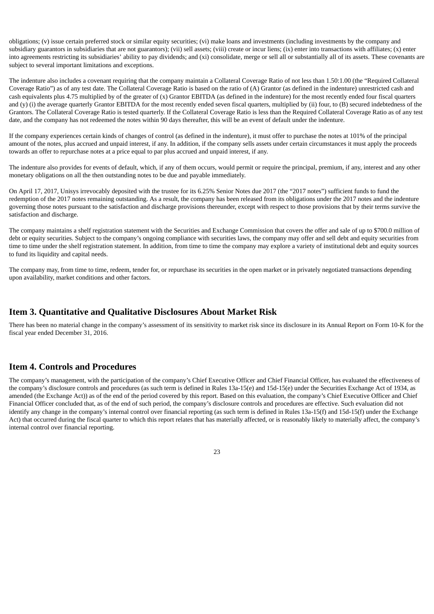obligations; (v) issue certain preferred stock or similar equity securities; (vi) make loans and investments (including investments by the company and subsidiary guarantors in subsidiaries that are not guarantors); (vii) sell assets; (viii) create or incur liens; (ix) enter into transactions with affiliates; (x) enter into agreements restricting its subsidiaries' ability to pay dividends; and (xi) consolidate, merge or sell all or substantially all of its assets. These covenants are subject to several important limitations and exceptions.

The indenture also includes a covenant requiring that the company maintain a Collateral Coverage Ratio of not less than 1.50:1.00 (the "Required Collateral Coverage Ratio") as of any test date. The Collateral Coverage Ratio is based on the ratio of (A) Grantor (as defined in the indenture) unrestricted cash and cash equivalents plus 4.75 multiplied by of the greater of  $(x)$  Grantor EBITDA (as defined in the indenture) for the most recently ended four fiscal quarters and (y) (i) the average quarterly Grantor EBITDA for the most recently ended seven fiscal quarters, multiplied by (ii) four, to (B) secured indebtedness of the Grantors. The Collateral Coverage Ratio is tested quarterly. If the Collateral Coverage Ratio is less than the Required Collateral Coverage Ratio as of any test date, and the company has not redeemed the notes within 90 days thereafter, this will be an event of default under the indenture.

If the company experiences certain kinds of changes of control (as defined in the indenture), it must offer to purchase the notes at 101% of the principal amount of the notes, plus accrued and unpaid interest, if any. In addition, if the company sells assets under certain circumstances it must apply the proceeds towards an offer to repurchase notes at a price equal to par plus accrued and unpaid interest, if any.

The indenture also provides for events of default, which, if any of them occurs, would permit or require the principal, premium, if any, interest and any other monetary obligations on all the then outstanding notes to be due and payable immediately.

On April 17, 2017, Unisys irrevocably deposited with the trustee for its 6.25% Senior Notes due 2017 (the "2017 notes") sufficient funds to fund the redemption of the 2017 notes remaining outstanding. As a result, the company has been released from its obligations under the 2017 notes and the indenture governing those notes pursuant to the satisfaction and discharge provisions thereunder, except with respect to those provisions that by their terms survive the satisfaction and discharge.

The company maintains a shelf registration statement with the Securities and Exchange Commission that covers the offer and sale of up to \$700.0 million of debt or equity securities. Subject to the company's ongoing compliance with securities laws, the company may offer and sell debt and equity securities from time to time under the shelf registration statement. In addition, from time to time the company may explore a variety of institutional debt and equity sources to fund its liquidity and capital needs.

The company may, from time to time, redeem, tender for, or repurchase its securities in the open market or in privately negotiated transactions depending upon availability, market conditions and other factors.

## **Item 3. Quantitative and Qualitative Disclosures About Market Risk**

There has been no material change in the company's assessment of its sensitivity to market risk since its disclosure in its Annual Report on Form 10-K for the fiscal year ended December 31, 2016.

## **Item 4. Controls and Procedures**

The company's management, with the participation of the company's Chief Executive Officer and Chief Financial Officer, has evaluated the effectiveness of the company's disclosure controls and procedures (as such term is defined in Rules 13a-15(e) and 15d-15(e) under the Securities Exchange Act of 1934, as amended (the Exchange Act)) as of the end of the period covered by this report. Based on this evaluation, the company's Chief Executive Officer and Chief Financial Officer concluded that, as of the end of such period, the company's disclosure controls and procedures are effective. Such evaluation did not identify any change in the company's internal control over financial reporting (as such term is defined in Rules 13a-15(f) and 15d-15(f) under the Exchange Act) that occurred during the fiscal quarter to which this report relates that has materially affected, or is reasonably likely to materially affect, the company's internal control over financial reporting.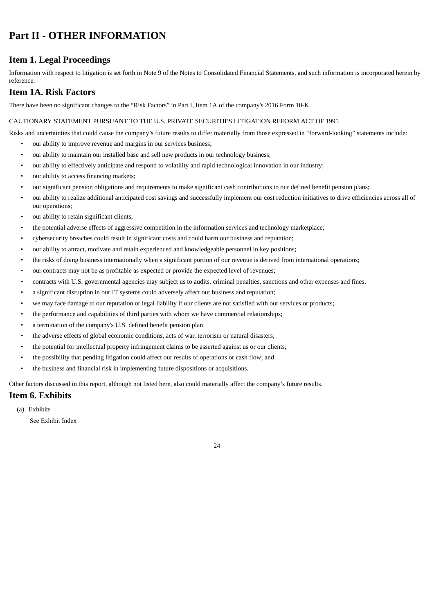# **Part II - OTHER INFORMATION**

## **Item 1. Legal Proceedings**

Information with respect to litigation is set forth in Note 9 of the Notes to Consolidated Financial Statements, and such information is incorporated herein by reference.

## **Item 1A. Risk Factors**

There have been no significant changes to the "Risk Factors" in Part I, Item 1A of the company's 2016 Form 10-K.

### CAUTIONARY STATEMENT PURSUANT TO THE U.S. PRIVATE SECURITIES LITIGATION REFORM ACT OF 1995

Risks and uncertainties that could cause the company's future results to differ materially from those expressed in "forward-looking" statements include:

- our ability to improve revenue and margins in our services business;
- our ability to maintain our installed base and sell new products in our technology business;
- our ability to effectively anticipate and respond to volatility and rapid technological innovation in our industry;
- our ability to access financing markets:
- our significant pension obligations and requirements to make significant cash contributions to our defined benefit pension plans;
- our ability to realize additional anticipated cost savings and successfully implement our cost reduction initiatives to drive efficiencies across all of our operations;
- our ability to retain significant clients;
- the potential adverse effects of aggressive competition in the information services and technology marketplace;
- cybersecurity breaches could result in significant costs and could harm our business and reputation;
- our ability to attract, motivate and retain experienced and knowledgeable personnel in key positions;
- the risks of doing business internationally when a significant portion of our revenue is derived from international operations;
- our contracts may not be as profitable as expected or provide the expected level of revenues;
- contracts with U.S. governmental agencies may subject us to audits, criminal penalties, sanctions and other expenses and fines;
- a significant disruption in our IT systems could adversely affect our business and reputation;
- we may face damage to our reputation or legal liability if our clients are not satisfied with our services or products;
- the performance and capabilities of third parties with whom we have commercial relationships;
- a termination of the company's U.S. defined benefit pension plan
- the adverse effects of global economic conditions, acts of war, terrorism or natural disasters;
- the potential for intellectual property infringement claims to be asserted against us or our clients;
- the possibility that pending litigation could affect our results of operations or cash flow; and
- the business and financial risk in implementing future dispositions or acquisitions.

Other factors discussed in this report, although not listed here, also could materially affect the company's future results.

## **Item 6. Exhibits**

(a) Exhibits

See Exhibit Index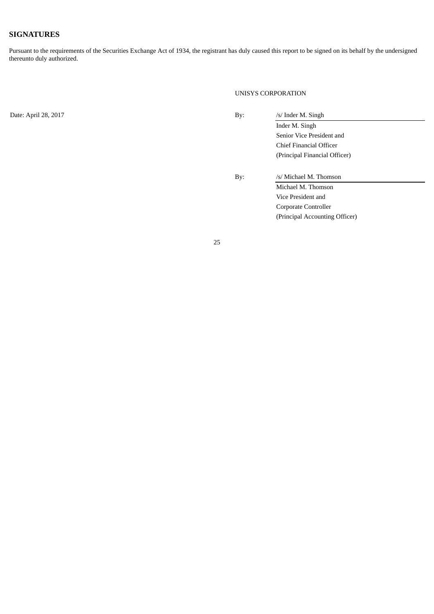## **SIGNATURES**

Date: April 28, 2017

Pursuant to the requirements of the Securities Exchange Act of 1934, the registrant has duly caused this report to be signed on its behalf by the undersigned thereunto duly authorized.

UNISYS CORPORATION

| By: | /s/ Inder M. Singh             |
|-----|--------------------------------|
|     | Inder M. Singh                 |
|     | Senior Vice President and      |
|     | Chief Financial Officer        |
|     | (Principal Financial Officer)  |
|     |                                |
| By: | /s/ Michael M. Thomson         |
|     | Michael M. Thomson             |
|     | Vice President and             |
|     | Corporate Controller           |
|     | (Principal Accounting Officer) |
|     |                                |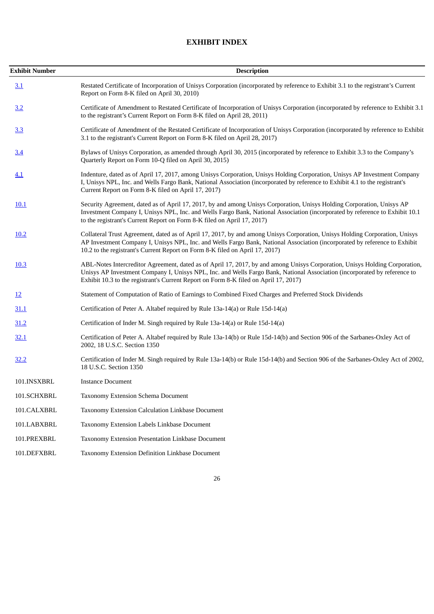## **EXHIBIT INDEX**

| <b>Exhibit Number</b> | <b>Description</b>                                                                                                                                                                                                                                                                                                                               |
|-----------------------|--------------------------------------------------------------------------------------------------------------------------------------------------------------------------------------------------------------------------------------------------------------------------------------------------------------------------------------------------|
| <u>3.1</u>            | Restated Certificate of Incorporation of Unisys Corporation (incorporated by reference to Exhibit 3.1 to the registrant's Current<br>Report on Form 8-K filed on April 30, 2010)                                                                                                                                                                 |
| 3.2                   | Certificate of Amendment to Restated Certificate of Incorporation of Unisys Corporation (incorporated by reference to Exhibit 3.1<br>to the registrant's Current Report on Form 8-K filed on April 28, 2011)                                                                                                                                     |
| <u>3.3</u>            | Certificate of Amendment of the Restated Certificate of Incorporation of Unisys Corporation (incorporated by reference to Exhibit<br>3.1 to the registrant's Current Report on Form 8-K filed on April 28, 2017)                                                                                                                                 |
| <u>3.4</u>            | Bylaws of Unisys Corporation, as amended through April 30, 2015 (incorporated by reference to Exhibit 3.3 to the Company's<br>Quarterly Report on Form 10-Q filed on April 30, 2015)                                                                                                                                                             |
| <u>4.1</u>            | Indenture, dated as of April 17, 2017, among Unisys Corporation, Unisys Holding Corporation, Unisys AP Investment Company<br>I, Unisys NPL, Inc. and Wells Fargo Bank, National Association (incorporated by reference to Exhibit 4.1 to the registrant's<br>Current Report on Form 8-K filed on April 17, 2017)                                 |
| 10.1                  | Security Agreement, dated as of April 17, 2017, by and among Unisys Corporation, Unisys Holding Corporation, Unisys AP<br>Investment Company I, Unisys NPL, Inc. and Wells Fargo Bank, National Association (incorporated by reference to Exhibit 10.1<br>to the registrant's Current Report on Form 8-K filed on April 17, 2017)                |
| <b>10.2</b>           | Collateral Trust Agreement, dated as of April 17, 2017, by and among Unisys Corporation, Unisys Holding Corporation, Unisys<br>AP Investment Company I, Unisys NPL, Inc. and Wells Fargo Bank, National Association (incorporated by reference to Exhibit<br>10.2 to the registrant's Current Report on Form 8-K filed on April 17, 2017)        |
| 10.3                  | ABL-Notes Intercreditor Agreement, dated as of April 17, 2017, by and among Unisys Corporation, Unisys Holding Corporation,<br>Unisys AP Investment Company I, Unisys NPL, Inc. and Wells Fargo Bank, National Association (incorporated by reference to<br>Exhibit 10.3 to the registrant's Current Report on Form 8-K filed on April 17, 2017) |
| 12                    | Statement of Computation of Ratio of Earnings to Combined Fixed Charges and Preferred Stock Dividends                                                                                                                                                                                                                                            |
| <u>31.1</u>           | Certification of Peter A. Altabef required by Rule 13a-14(a) or Rule 15d-14(a)                                                                                                                                                                                                                                                                   |
| 31.2                  | Certification of Inder M. Singh required by Rule 13a-14(a) or Rule 15d-14(a)                                                                                                                                                                                                                                                                     |
| 32.1                  | Certification of Peter A. Altabef required by Rule 13a-14(b) or Rule 15d-14(b) and Section 906 of the Sarbanes-Oxley Act of<br>2002, 18 U.S.C. Section 1350                                                                                                                                                                                      |
| 32.2                  | Certification of Inder M. Singh required by Rule 13a-14(b) or Rule 15d-14(b) and Section 906 of the Sarbanes-Oxley Act of 2002,<br>18 U.S.C. Section 1350                                                                                                                                                                                        |
| 101.INSXBRL           | <b>Instance Document</b>                                                                                                                                                                                                                                                                                                                         |
| 101.SCHXBRL           | <b>Taxonomy Extension Schema Document</b>                                                                                                                                                                                                                                                                                                        |
| 101.CALXBRL           | Taxonomy Extension Calculation Linkbase Document                                                                                                                                                                                                                                                                                                 |
| 101.LABXBRL           | Taxonomy Extension Labels Linkbase Document                                                                                                                                                                                                                                                                                                      |
| 101.PREXBRL           | Taxonomy Extension Presentation Linkbase Document                                                                                                                                                                                                                                                                                                |
| 101.DEFXBRL           | Taxonomy Extension Definition Linkbase Document                                                                                                                                                                                                                                                                                                  |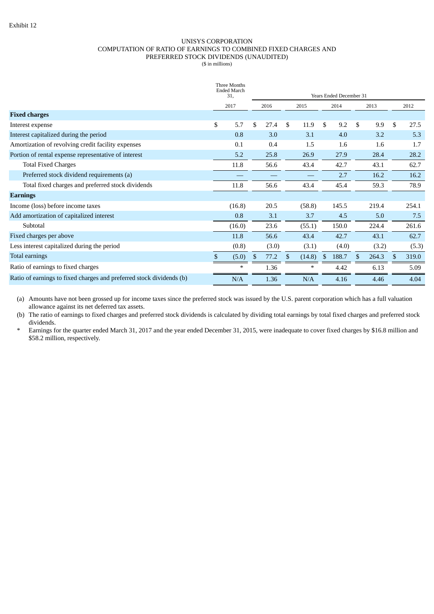## UNISYS CORPORATION COMPUTATION OF RATIO OF EARNINGS TO COMBINED FIXED CHARGES AND PREFERRED STOCK DIVIDENDS (UNAUDITED)

|  |  |  |  | (\$ in millions) |
|--|--|--|--|------------------|
|--|--|--|--|------------------|

|                                                                      | <b>Three Months</b><br><b>Ended March</b><br>31, |        | Years Ended December 31 |       |      |        |      |       |      |       |    |       |  |
|----------------------------------------------------------------------|--------------------------------------------------|--------|-------------------------|-------|------|--------|------|-------|------|-------|----|-------|--|
|                                                                      | 2017                                             |        | 2016                    |       | 2015 |        | 2014 |       | 2013 |       |    | 2012  |  |
| <b>Fixed charges</b>                                                 |                                                  |        |                         |       |      |        |      |       |      |       |    |       |  |
| Interest expense                                                     | \$<br>5.7                                        |        | \$<br>27.4              |       | \$.  | 11.9   | \$   | 9.2   | \$   | 9.9   | \$ | 27.5  |  |
| Interest capitalized during the period                               |                                                  | 0.8    |                         | 3.0   |      | 3.1    |      | 4.0   |      | 3.2   |    | 5.3   |  |
| Amortization of revolving credit facility expenses                   |                                                  | 0.1    |                         | 0.4   |      | 1.5    |      | 1.6   |      | 1.6   |    | 1.7   |  |
| Portion of rental expense representative of interest                 | 5.2                                              |        | 25.8                    |       |      | 26.9   |      | 27.9  |      | 28.4  |    | 28.2  |  |
| <b>Total Fixed Charges</b>                                           | 11.8                                             |        | 56.6                    |       |      | 43.4   |      | 42.7  |      | 43.1  |    | 62.7  |  |
| Preferred stock dividend requirements (a)                            |                                                  |        |                         |       |      |        |      | 2.7   |      | 16.2  |    | 16.2  |  |
| Total fixed charges and preferred stock dividends                    | 11.8                                             |        |                         | 56.6  |      | 43.4   |      | 45.4  |      | 59.3  |    | 78.9  |  |
| <b>Earnings</b>                                                      |                                                  |        |                         |       |      |        |      |       |      |       |    |       |  |
| Income (loss) before income taxes                                    | (16.8)                                           |        | 20.5                    |       |      | (58.8) |      | 145.5 |      | 219.4 |    | 254.1 |  |
| Add amortization of capitalized interest                             | 0.8                                              |        |                         | 3.1   |      | 3.7    |      | 4.5   |      | 5.0   |    | 7.5   |  |
| Subtotal                                                             | (16.0)                                           |        | 23.6                    |       |      | (55.1) |      | 150.0 |      | 224.4 |    | 261.6 |  |
| Fixed charges per above                                              | 11.8                                             |        | 56.6                    |       |      | 43.4   |      | 42.7  |      | 43.1  |    | 62.7  |  |
| Less interest capitalized during the period                          | (0.8)                                            |        |                         | (3.0) |      | (3.1)  |      | (4.0) |      | (3.2) |    | (5.3) |  |
| Total earnings                                                       | \$<br>(5.0)                                      |        | 77.2<br>S.              |       | S    | (14.8) | \$   | 188.7 | S    | 264.3 | \$ | 319.0 |  |
| Ratio of earnings to fixed charges                                   |                                                  | $\ast$ | 1.36                    |       |      | $\ast$ |      | 4.42  |      | 6.13  |    | 5.09  |  |
| Ratio of earnings to fixed charges and preferred stock dividends (b) |                                                  | N/A    | 1.36                    |       |      | N/A    |      | 4.16  |      | 4.46  |    | 4.04  |  |

(a) Amounts have not been grossed up for income taxes since the preferred stock was issued by the U.S. parent corporation which has a full valuation allowance against its net deferred tax assets.

(b) The ratio of earnings to fixed charges and preferred stock dividends is calculated by dividing total earnings by total fixed charges and preferred stock dividends.

\* Earnings for the quarter ended March 31, 2017 and the year ended December 31, 2015, were inadequate to cover fixed charges by \$16.8 million and \$58.2 million, respectively.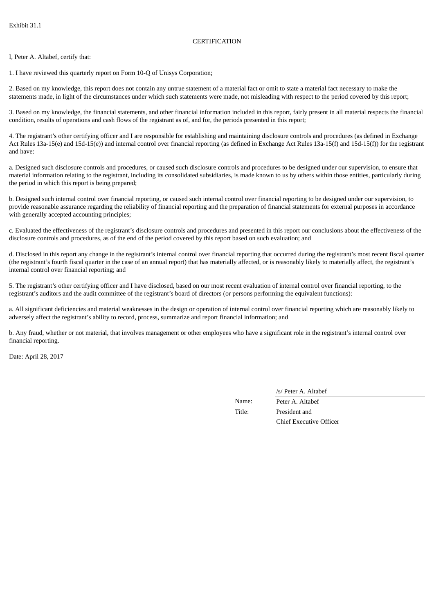#### **CERTIFICATION**

#### I, Peter A. Altabef, certify that:

1. I have reviewed this quarterly report on Form 10-Q of Unisys Corporation;

2. Based on my knowledge, this report does not contain any untrue statement of a material fact or omit to state a material fact necessary to make the statements made, in light of the circumstances under which such statements were made, not misleading with respect to the period covered by this report;

3. Based on my knowledge, the financial statements, and other financial information included in this report, fairly present in all material respects the financial condition, results of operations and cash flows of the registrant as of, and for, the periods presented in this report;

4. The registrant's other certifying officer and I are responsible for establishing and maintaining disclosure controls and procedures (as defined in Exchange Act Rules 13a-15(e) and 15d-15(e)) and internal control over financial reporting (as defined in Exchange Act Rules 13a-15(f) and 15d-15(f)) for the registrant and have:

a. Designed such disclosure controls and procedures, or caused such disclosure controls and procedures to be designed under our supervision, to ensure that material information relating to the registrant, including its consolidated subsidiaries, is made known to us by others within those entities, particularly during the period in which this report is being prepared;

b. Designed such internal control over financial reporting, or caused such internal control over financial reporting to be designed under our supervision, to provide reasonable assurance regarding the reliability of financial reporting and the preparation of financial statements for external purposes in accordance with generally accepted accounting principles;

c. Evaluated the effectiveness of the registrant's disclosure controls and procedures and presented in this report our conclusions about the effectiveness of the disclosure controls and procedures, as of the end of the period covered by this report based on such evaluation; and

d. Disclosed in this report any change in the registrant's internal control over financial reporting that occurred during the registrant's most recent fiscal quarter (the registrant's fourth fiscal quarter in the case of an annual report) that has materially affected, or is reasonably likely to materially affect, the registrant's internal control over financial reporting; and

5. The registrant's other certifying officer and I have disclosed, based on our most recent evaluation of internal control over financial reporting, to the registrant's auditors and the audit committee of the registrant's board of directors (or persons performing the equivalent functions):

a. All significant deficiencies and material weaknesses in the design or operation of internal control over financial reporting which are reasonably likely to adversely affect the registrant's ability to record, process, summarize and report financial information; and

b. Any fraud, whether or not material, that involves management or other employees who have a significant role in the registrant's internal control over financial reporting.

Date: April 28, 2017

Name: Peter A. Altabef

/s/ Peter A. Altabef

Title: President and Chief Executive Officer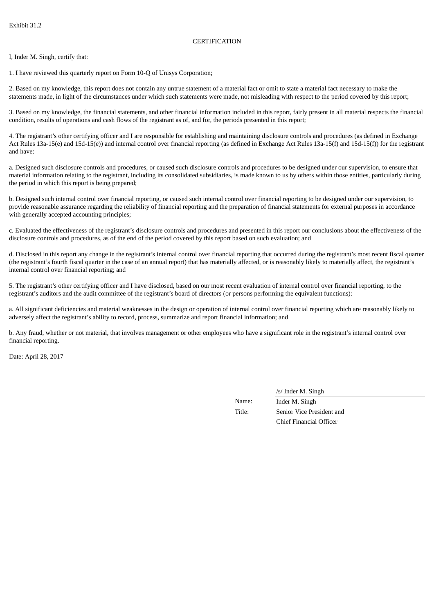#### **CERTIFICATION**

#### I, Inder M. Singh, certify that:

1. I have reviewed this quarterly report on Form 10-Q of Unisys Corporation;

2. Based on my knowledge, this report does not contain any untrue statement of a material fact or omit to state a material fact necessary to make the statements made, in light of the circumstances under which such statements were made, not misleading with respect to the period covered by this report;

3. Based on my knowledge, the financial statements, and other financial information included in this report, fairly present in all material respects the financial condition, results of operations and cash flows of the registrant as of, and for, the periods presented in this report;

4. The registrant's other certifying officer and I are responsible for establishing and maintaining disclosure controls and procedures (as defined in Exchange Act Rules 13a-15(e) and 15d-15(e)) and internal control over financial reporting (as defined in Exchange Act Rules 13a-15(f) and 15d-15(f)) for the registrant and have:

a. Designed such disclosure controls and procedures, or caused such disclosure controls and procedures to be designed under our supervision, to ensure that material information relating to the registrant, including its consolidated subsidiaries, is made known to us by others within those entities, particularly during the period in which this report is being prepared;

b. Designed such internal control over financial reporting, or caused such internal control over financial reporting to be designed under our supervision, to provide reasonable assurance regarding the reliability of financial reporting and the preparation of financial statements for external purposes in accordance with generally accepted accounting principles;

c. Evaluated the effectiveness of the registrant's disclosure controls and procedures and presented in this report our conclusions about the effectiveness of the disclosure controls and procedures, as of the end of the period covered by this report based on such evaluation; and

d. Disclosed in this report any change in the registrant's internal control over financial reporting that occurred during the registrant's most recent fiscal quarter (the registrant's fourth fiscal quarter in the case of an annual report) that has materially affected, or is reasonably likely to materially affect, the registrant's internal control over financial reporting; and

5. The registrant's other certifying officer and I have disclosed, based on our most recent evaluation of internal control over financial reporting, to the registrant's auditors and the audit committee of the registrant's board of directors (or persons performing the equivalent functions):

a. All significant deficiencies and material weaknesses in the design or operation of internal control over financial reporting which are reasonably likely to adversely affect the registrant's ability to record, process, summarize and report financial information; and

b. Any fraud, whether or not material, that involves management or other employees who have a significant role in the registrant's internal control over financial reporting.

Date: April 28, 2017

Name: Inder M. Singh Title: Senior Vice President and Chief Financial Officer

/s/ Inder M. Singh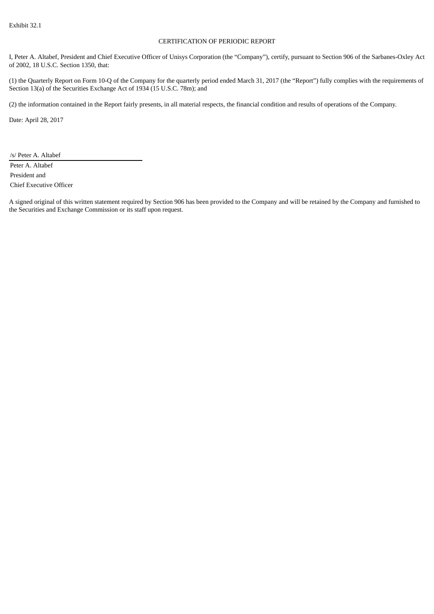### CERTIFICATION OF PERIODIC REPORT

I, Peter A. Altabef, President and Chief Executive Officer of Unisys Corporation (the "Company"), certify, pursuant to Section 906 of the Sarbanes-Oxley Act of 2002, 18 U.S.C. Section 1350, that:

(1) the Quarterly Report on Form 10-Q of the Company for the quarterly period ended March 31, 2017 (the "Report") fully complies with the requirements of Section 13(a) of the Securities Exchange Act of 1934 (15 U.S.C. 78m); and

(2) the information contained in the Report fairly presents, in all material respects, the financial condition and results of operations of the Company.

Date: April 28, 2017

/s/ Peter A. Altabef

Peter A. Altabef President and Chief Executive Officer

A signed original of this written statement required by Section 906 has been provided to the Company and will be retained by the Company and furnished to the Securities and Exchange Commission or its staff upon request.